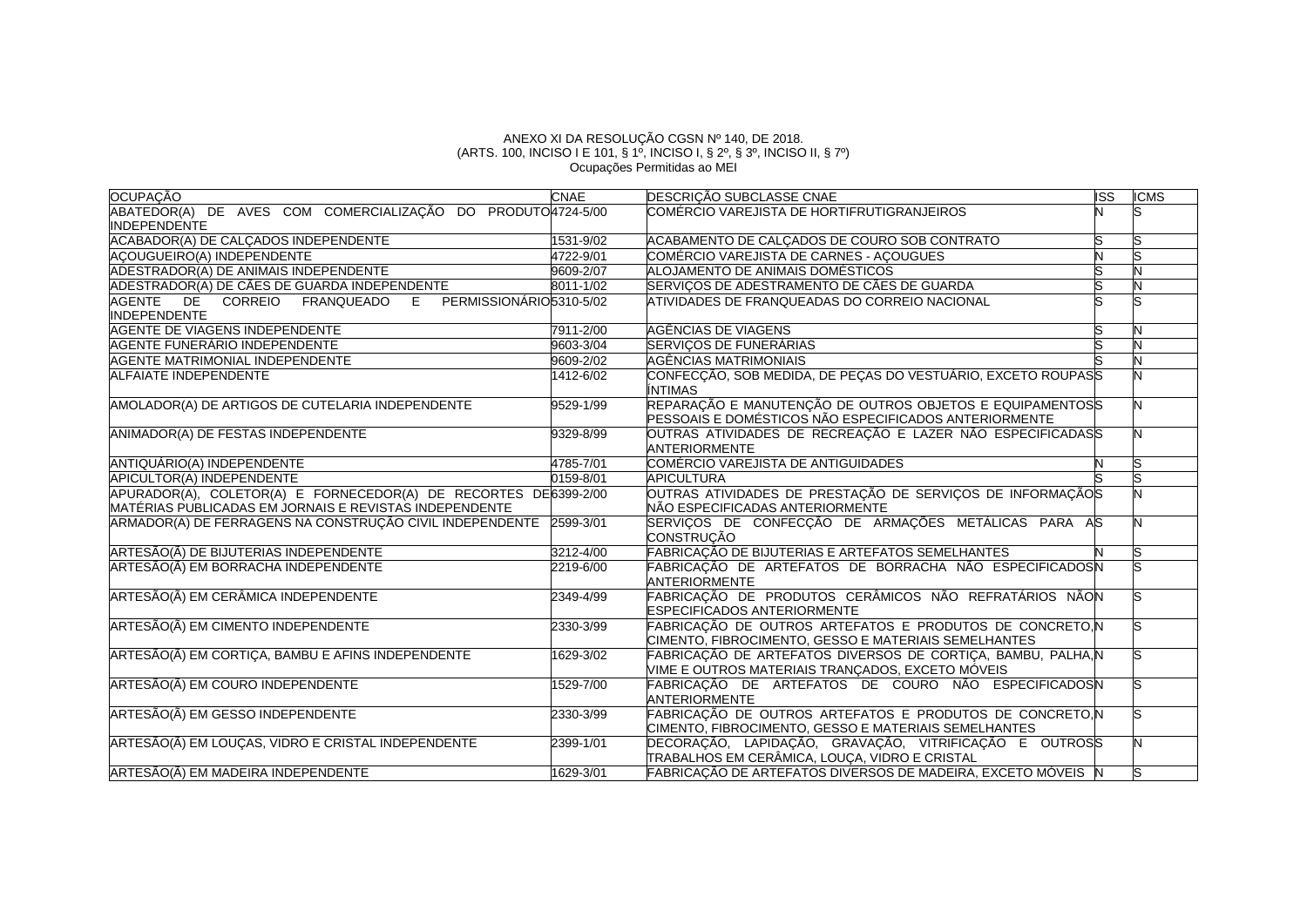## ANEXO XI DA RESOLUÇÃO CGSN Nº 140, DE 2018. (ARTS. 100, INCISO I E 101, § 1º, INCISO I, § 2º, § 3º, INCISO II, § 7º) Ocupações Permitidas ao MEI

| <b>OCUPAÇÃO</b>                                                                                                           | <b>CNAE</b> | DESCRIÇÃO SUBCLASSE CNAE                                                                                          | <b>ISS</b> | <b>ICMS</b> |
|---------------------------------------------------------------------------------------------------------------------------|-------------|-------------------------------------------------------------------------------------------------------------------|------------|-------------|
| ABATEDOR(A) DE AVES COM COMERCIALIZAÇÃO DO PRODUTO 4724-5/00                                                              |             | COMÉRCIO VAREJISTA DE HORTIFRUTIGRANJEIROS                                                                        |            |             |
| <b>INDEPENDENTE</b>                                                                                                       |             |                                                                                                                   |            |             |
| ACABADOR(A) DE CALÇADOS INDEPENDENTE                                                                                      | 1531-9/02   | ACABAMENTO DE CALÇADOS DE COURO SOB CONTRATO                                                                      |            |             |
| ACOUGUEIRO(A) INDEPENDENTE                                                                                                | 4722-9/01   | COMÉRCIO VAREJISTA DE CARNES - AÇOUGUES                                                                           |            |             |
| ADESTRADOR(A) DE ANIMAIS INDEPENDENTE                                                                                     | 9609-2/07   | ALOJAMENTO DE ANIMAIS DOMÉSTICOS                                                                                  |            |             |
| ADESTRADOR(A) DE CÃES DE GUARDA INDEPENDENTE                                                                              | 8011-1/02   | SERVIÇOS DE ADESTRAMENTO DE CÃES DE GUARDA                                                                        |            |             |
| FRANQUEADO E PERMISSIONÁRIO5310-5/02<br>AGENTE DE CORREIO<br><b>INDEPENDENTE</b>                                          |             | ATIVIDADES DE FRANQUEADAS DO CORREIO NACIONAL                                                                     |            |             |
| AGENTE DE VIAGENS INDEPENDENTE                                                                                            | 7911-2/00   | AGÊNCIAS DE VIAGENS                                                                                               |            |             |
| AGENTE FUNERÁRIO INDEPENDENTE                                                                                             | 9603-3/04   | SERVIÇOS DE FUNERÁRIAS                                                                                            |            |             |
| <b>AGENTE MATRIMONIAL INDEPENDENTE</b>                                                                                    | 9609-2/02   | AGÊNCIAS MATRIMONIAIS                                                                                             |            |             |
| <b>ALFAIATE INDEPENDENTE</b>                                                                                              | 1412-6/02   | CONFECÇÃO, SOB MEDIDA, DE PEÇAS DO VESTUÁRIO, EXCETO ROUPASS<br><b>INTIMAS</b>                                    |            |             |
| AMOLADOR(A) DE ARTIGOS DE CUTELARIA INDEPENDENTE                                                                          | 9529-1/99   | REPARAÇÃO E MANUTENÇÃO DE OUTROS OBJETOS E EQUIPAMENTOSS<br>PESSOAIS E DOMÉSTICOS NÃO ESPECIFICADOS ANTERIORMENTE |            |             |
| ANIMADOR(A) DE FESTAS INDEPENDENTE                                                                                        | 9329-8/99   | OUTRAS ATIVIDADES DE RECREAÇÃO E LAZER NÃO ESPECIFICADASS<br><b>ANTERIORMENTE</b>                                 |            |             |
| ANTIQUÁRIO(A) INDEPENDENTE                                                                                                | 4785-7/01   | COMÉRCIO VAREJISTA DE ANTIGUIDADES                                                                                |            |             |
| APICULTOR(A) INDEPENDENTE                                                                                                 | 0159-8/01   | <b>APICULTURA</b>                                                                                                 |            |             |
| APURADOR(A), COLETOR(A) E FORNECEDOR(A) DE RECORTES DE6399-2/00<br>MATÉRIAS PUBLICADAS EM JORNAIS E REVISTAS INDEPENDENTE |             | OUTRAS ATIVIDADES DE PRESTAÇÃO DE SERVIÇOS DE INFORMAÇÃOS<br>NÃO ESPECIFICADAS ANTERIORMENTE                      |            |             |
| ARMADOR(A) DE FERRAGENS NA CONSTRUÇÃO CIVIL INDEPENDENTE 2599-3/01                                                        |             | SERVIÇOS DE CONFECÇÃO DE ARMAÇÕES METÁLICAS PARA AS<br><b>CONSTRUCÃO</b>                                          |            |             |
| ARTESÃO(Ã) DE BIJUTERIAS INDEPENDENTE                                                                                     | 3212-4/00   | FABRICAÇÃO DE BIJUTERIAS E ARTEFATOS SEMELHANTES                                                                  |            |             |
| ARTESÃO(Ã) EM BORRACHA INDEPENDENTE                                                                                       | 2219-6/00   | FABRICAÇÃO DE ARTEFATOS DE BORRACHA NÃO ESPECIFICADOSN<br><b>ANTERIORMENTE</b>                                    |            |             |
| ARTESÃO(Ã) EM CERÂMICA INDEPENDENTE                                                                                       | 2349-4/99   | FABRICAÇÃO DE PRODUTOS CERÂMICOS NÃO REFRATÁRIOS NÃON<br><b>ESPECIFICADOS ANTERIORMENTE</b>                       |            |             |
| ARTESÃO(Ã) EM CIMENTO INDEPENDENTE                                                                                        | 2330-3/99   | FABRICAÇÃO DE OUTROS ARTEFATOS E PRODUTOS DE CONCRETO, N<br>CIMENTO, FIBROCIMENTO, GESSO E MATERIAIS SEMELHANTES  |            |             |
| ARTESÃO(Ã) EM CORTIÇA, BAMBU E AFINS INDEPENDENTE                                                                         | 1629-3/02   | FABRICAÇÃO DE ARTEFATOS DIVERSOS DE CORTIÇA, BAMBU, PALHA, N<br>VIME E OUTROS MATERIAIS TRANÇADOS, EXCETO MOVEIS  |            |             |
| ARTESÃO(Ã) EM COURO INDEPENDENTE                                                                                          | 1529-7/00   | FABRICAÇÃO DE ARTEFATOS DE COURO NÃO ESPECIFICADOSN<br><b>ANTERIORMENTE</b>                                       |            |             |
| ARTESÃO(Ã) EM GESSO INDEPENDENTE                                                                                          | 2330-3/99   | FABRICAÇÃO DE OUTROS ARTEFATOS E PRODUTOS DE CONCRETO, N<br>CIMENTO, FIBROCIMENTO, GESSO E MATERIAIS SEMELHANTES  |            |             |
| ARTESÃO(Ã) EM LOUÇAS, VIDRO E CRISTAL INDEPENDENTE                                                                        | 2399-1/01   | DECORAÇÃO, LAPIDAÇÃO, GRAVAÇÃO, VITRIFICAÇÃO E OUTROSS<br>TRABALHOS EM CERÂMICA, LOUÇA, VIDRO E CRISTAL           |            |             |
| ARTESÃO(Ã) EM MADEIRA INDEPENDENTE                                                                                        | 1629-3/01   | FABRICACÃO DE ARTEFATOS DIVERSOS DE MADEIRA, EXCETO MÓVEIS N                                                      |            |             |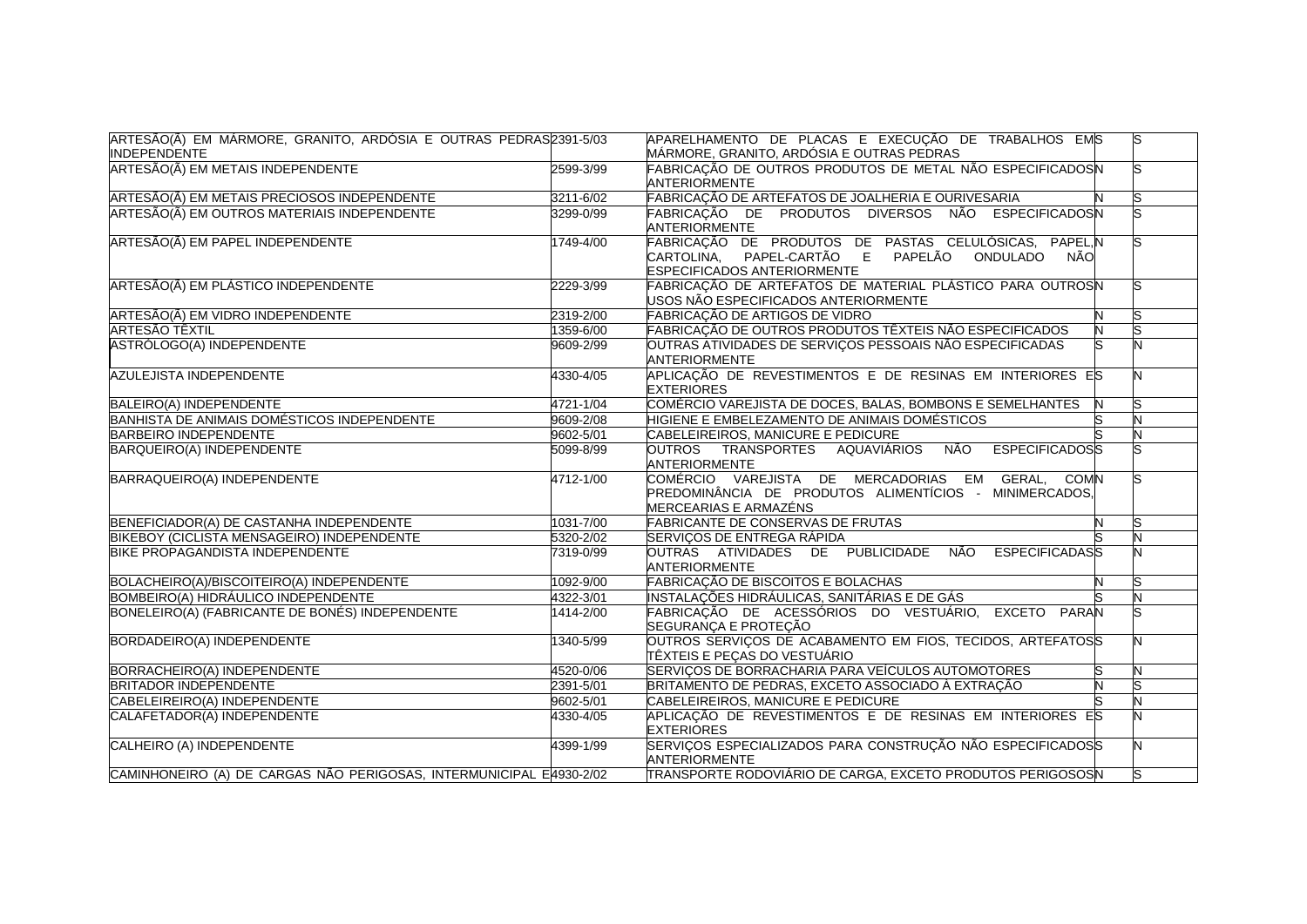| ARTESÃO(Ã) EM MÁRMORE, GRANITO, ARDÓSIA E OUTRAS PEDRAS 2391-5/03<br><b>INDEPENDENTE</b> |           | APARELHAMENTO DE PLACAS E EXECUÇÃO DE TRABALHOS EMS<br>MÁRMORE, GRANITO, ARDÓSIA E OUTRAS PEDRAS                                           |   | S |
|------------------------------------------------------------------------------------------|-----------|--------------------------------------------------------------------------------------------------------------------------------------------|---|---|
| ARTESÃO(Ã) EM METAIS INDEPENDENTE                                                        | 2599-3/99 | FABRICAÇÃO DE OUTROS PRODUTOS DE METAL NÃO ESPECIFICADOSN<br><b>ANTERIORMENTE</b>                                                          |   |   |
| ARTESÃO(Ã) EM METAIS PRECIOSOS INDEPENDENTE                                              | 3211-6/02 | FABRICAÇÃO DE ARTEFATOS DE JOALHERIA E OURIVESARIA                                                                                         |   |   |
| ARTESÃO(Ã) EM OUTROS MATERIAIS INDEPENDENTE                                              | 3299-0/99 | FABRICAÇÃO DE PRODUTOS DIVERSOS NÃO ESPECIFICADOSN<br>ANTERIORMENTE                                                                        |   |   |
| ARTESÃO(Ã) EM PAPEL INDEPENDENTE                                                         | 1749-4/00 | FABRICAÇÃO DE PRODUTOS DE PASTAS CELULÓSICAS, PAPEL, N<br>CARTOLINA, PAPEL-CARTÃO E PAPELÃO ONDULADO<br>NÃO<br>ESPECIFICADOS ANTERIORMENTE |   |   |
| ARTESÃO(Ã) EM PLÁSTICO INDEPENDENTE                                                      | 2229-3/99 | FABRICAÇÃO DE ARTEFATOS DE MATERIAL PLÁSTICO PARA OUTROSN<br>USOS NÃO ESPECIFICADOS ANTERIORMENTE                                          |   |   |
| ARTESÃO(Ã) EM VIDRO INDEPENDENTE                                                         | 2319-2/00 | FABRICAÇÃO DE ARTIGOS DE VIDRO                                                                                                             |   |   |
| ARTESÃO TÊXTIL                                                                           | 1359-6/00 | FABRICAÇÃO DE OUTROS PRODUTOS TÊXTEIS NÃO ESPECIFICADOS                                                                                    | Z |   |
| ASTRÓLOGO(A) INDEPENDENTE                                                                | 9609-2/99 | OUTRAS ATIVIDADES DE SERVIÇOS PESSOAIS NÃO ESPECIFICADAS<br><b>ANTERIORMENTE</b>                                                           |   |   |
| <b>AZULEJISTA INDEPENDENTE</b>                                                           | 4330-4/05 | APLICAÇÃO DE REVESTIMENTOS E DE RESINAS EM INTERIORES ES<br><b>EXTERIORES</b>                                                              |   |   |
| BALEIRO(A) INDEPENDENTE                                                                  | 4721-1/04 | COMÉRCIO VAREJISTA DE DOCES, BALAS, BOMBONS E SEMELHANTES                                                                                  | N |   |
| BANHISTA DE ANIMAIS DOMÉSTICOS INDEPENDENTE                                              | 9609-2/08 | HIGIENE E EMBELEZAMENTO DE ANIMAIS DOMÉSTICOS                                                                                              |   |   |
| <b>BARBEIRO INDEPENDENTE</b>                                                             | 9602-5/01 | CABELEIREIROS, MANICURE E PEDICURE                                                                                                         |   |   |
| <b>BARQUEIRO(A) INDEPENDENTE</b>                                                         | 5099-8/99 | <b>NÃO</b><br><b>ESPECIFICADOSS</b><br>OUTROS TRANSPORTES AQUAVIÁRIOS<br>ANTERIORMENTE                                                     |   |   |
| BARRAQUEIRO(A) INDEPENDENTE                                                              | 4712-1/00 | COMÉRCIO VAREJISTA DE MERCADORIAS EM GERAL, COMN<br>PREDOMINÂNCIA DE PRODUTOS ALIMENTÍCIOS - MINIMERCADOS,<br>MERCEARIAS E ARMAZÉNS        |   |   |
| BENEFICIADOR(A) DE CASTANHA INDEPENDENTE                                                 | 1031-7/00 | <b>FABRICANTE DE CONSERVAS DE FRUTAS</b>                                                                                                   | N |   |
| BIKEBOY (CICLISTA MENSAGEIRO) INDEPENDENTE                                               | 5320-2/02 | SERVIÇOS DE ENTREGA RÁPIDA                                                                                                                 |   |   |
| BIKE PROPAGANDISTA INDEPENDENTE                                                          | 7319-0/99 | OUTRAS ATIVIDADES DE PUBLICIDADE<br>NÃO<br><b>ESPECIFICADASS</b><br><b>ANTERIORMENTE</b>                                                   |   |   |
| BOLACHEIRO(A)/BISCOITEIRO(A) INDEPENDENTE                                                | 1092-9/00 | FABRICAÇÃO DE BISCOITOS E BOLACHAS                                                                                                         | N |   |
| BOMBEIRO(A) HIDRÁULICO INDEPENDENTE                                                      | 4322-3/01 | INSTALAÇÕES HIDRÁULICAS, SANITÁRIAS E DE GÁS                                                                                               |   |   |
| BONELEIRO(A) (FABRICANTE DE BONÉS) INDEPENDENTE                                          | 1414-2/00 | FABRICAÇÃO DE ACESSÓRIOS DO VESTUÁRIO, EXCETO PARAN<br>SEGURANÇA E PROTEÇÃO                                                                |   |   |
| BORDADEIRO(A) INDEPENDENTE                                                               | 1340-5/99 | OUTROS SERVIÇOS DE ACABAMENTO EM FIOS, TECIDOS, ARTEFATOSS<br>TÊXTEIS E PEÇAS DO VESTUÁRIO                                                 |   |   |
| <b>BORRACHEIRO(A) INDEPENDENTE</b>                                                       | 4520-0/06 | SERVIÇOS DE BORRACHARIA PARA VEÍCULOS AUTOMOTORES                                                                                          |   |   |
| <b>BRITADOR INDEPENDENTE</b>                                                             | 2391-5/01 | BRITAMENTO DE PEDRAS, EXCETO ASSOCIADO À EXTRAÇÃO                                                                                          |   |   |
| CABELEIREIRO(A) INDEPENDENTE                                                             | 9602-5/01 | CABELEIREIROS, MANICURE E PEDICURE                                                                                                         |   |   |
| CALAFETADOR(A) INDEPENDENTE                                                              | 4330-4/05 | APLICAÇÃO DE REVESTIMENTOS E DE RESINAS EM INTERIORES ES<br><b>EXTERIORES</b>                                                              |   |   |
| CALHEIRO (A) INDEPENDENTE                                                                | 4399-1/99 | SERVIÇOS ESPECIALIZADOS PARA CONSTRUÇÃO NÃO ESPECIFICADOSS<br><b>ANTERIORMENTE</b>                                                         |   |   |
| CAMINHONEIRO (A) DE CARGAS NÃO PERIGOSAS, INTERMUNICIPAL E4930-2/02                      |           | TRANSPORTE RODOVIÁRIO DE CARGA, EXCETO PRODUTOS PERIGOSOSN                                                                                 |   |   |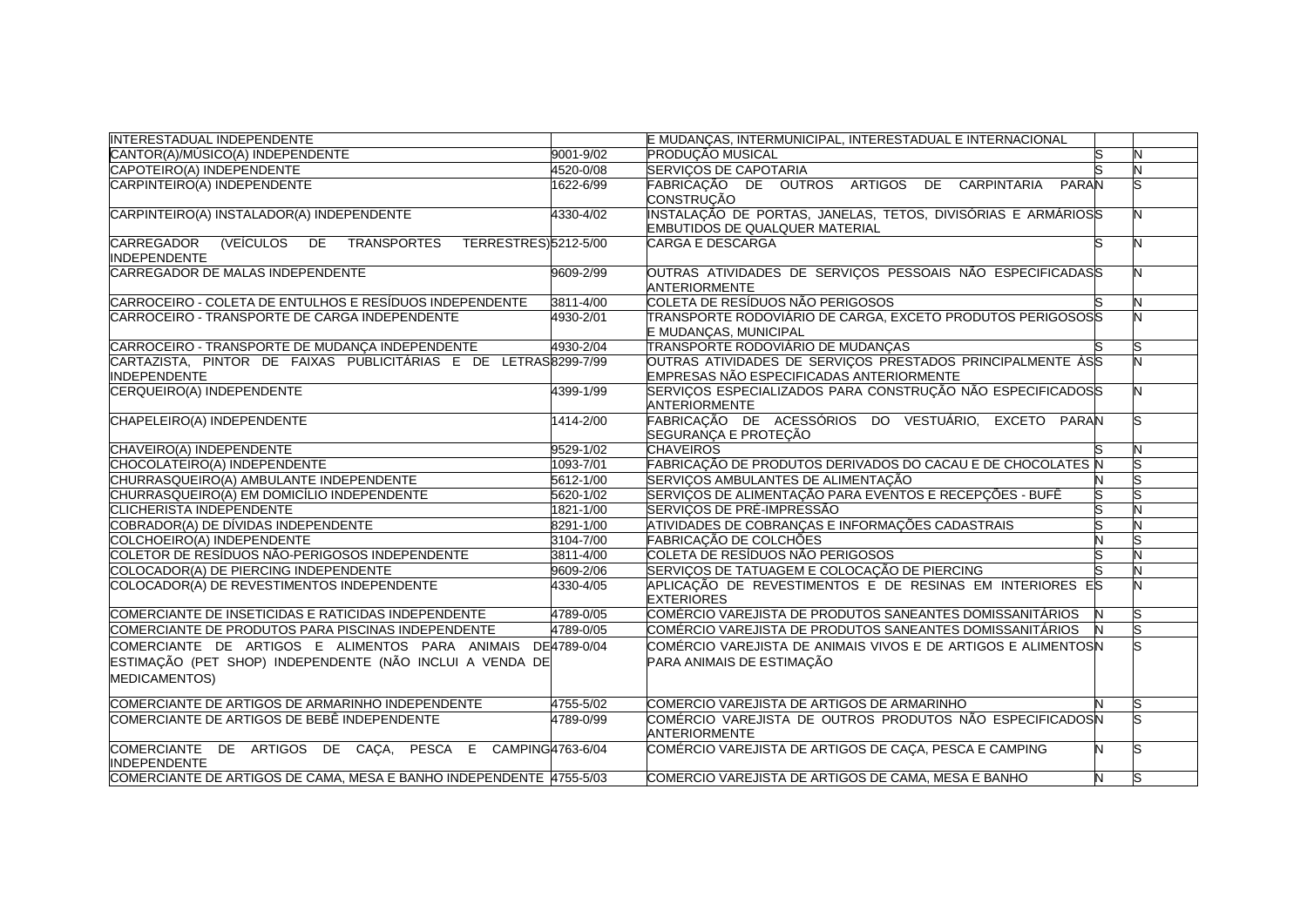| <b>INTERESTADUAL INDEPENDENTE</b>                                                           |           | E MUDANÇAS, INTERMUNICIPAL, INTERESTADUAL E INTERNACIONAL                                              |   |   |
|---------------------------------------------------------------------------------------------|-----------|--------------------------------------------------------------------------------------------------------|---|---|
| CANTOR(A)/MÚSICO(A) INDEPENDENTE                                                            | 9001-9/02 | <b>PRODUÇÃO MUSICAL</b>                                                                                |   |   |
| CAPOTEIRO(A) INDEPENDENTE                                                                   | 4520-0/08 | <b>SERVICOS DE CAPOTARIA</b>                                                                           |   | N |
| CARPINTEIRO(A) INDEPENDENTE                                                                 | 1622-6/99 | FABRICAÇÃO DE OUTROS ARTIGOS DE CARPINTARIA<br>PARAN<br>CONSTRUCÃO                                     |   |   |
| CARPINTEIRO(A) INSTALADOR(A) INDEPENDENTE                                                   | 4330-4/02 | INSTALAÇÃO DE PORTAS, JANELAS, TETOS, DIVISÓRIAS E ARMÁRIOSS<br>EMBUTIDOS DE QUALQUER MATERIAL         |   |   |
| CARREGADOR<br>TRANSPORTES<br>TERRESTRES)5212-5/00<br>(VEÍCULOS<br>DE<br><b>INDEPENDENTE</b> |           | <b>CARGA E DESCARGA</b>                                                                                |   |   |
| CARREGADOR DE MALAS INDEPENDENTE                                                            | 9609-2/99 | OUTRAS ATIVIDADES DE SERVIÇOS PESSOAIS NÃO ESPECIFICADASS<br><b>ANTERIORMENTE</b>                      |   |   |
| CARROCEIRO - COLETA DE ENTULHOS E RESÍDUOS INDEPENDENTE                                     | 3811-4/00 | COLETA DE RESÍDUOS NÃO PERIGOSOS                                                                       |   |   |
| CARROCEIRO - TRANSPORTE DE CARGA INDEPENDENTE                                               | 4930-2/01 | TRANSPORTE RODOVIÁRIO DE CARGA, EXCETO PRODUTOS PERIGOSOSS<br>E MUDANÇAS, MUNICIPAL                    |   |   |
| CARROCEIRO - TRANSPORTE DE MUDANÇA INDEPENDENTE                                             | 4930-2/04 | TRANSPORTE RODOVIÁRIO DE MUDANÇAS                                                                      |   |   |
| CARTAZISTA, PINTOR DE FAIXAS PUBLICITÁRIAS E DE LETRAS 8299-7/99<br><b>INDEPENDENTE</b>     |           | OUTRAS ATIVIDADES DE SERVIÇOS PRESTADOS PRINCIPALMENTE ÀSS<br>EMPRESAS NÃO ESPECIFICADAS ANTERIORMENTE |   |   |
| CERQUEIRO(A) INDEPENDENTE                                                                   | 4399-1/99 | SERVIÇOS ESPECIALIZADOS PARA CONSTRUÇÃO NÃO ESPECIFICADOSS<br><b>ANTERIORMENTE</b>                     |   |   |
| CHAPELEIRO(A) INDEPENDENTE                                                                  | 1414-2/00 | FABRICAÇÃO DE ACESSÓRIOS DO VESTUÁRIO, EXCETO PARAN<br>SEGURANÇA E PROTEÇÃO                            |   |   |
| CHAVEIRO(A) INDEPENDENTE                                                                    | 9529-1/02 | <b>CHAVEIROS</b>                                                                                       |   |   |
| CHOCOLATEIRO(A) INDEPENDENTE                                                                | 1093-7/01 | FABRICAÇÃO DE PRODUTOS DERIVADOS DO CACAU E DE CHOCOLATES N                                            |   |   |
| CHURRASQUEIRO(A) AMBULANTE INDEPENDENTE                                                     | 5612-1/00 | SERVICOS AMBULANTES DE ALIMENTAÇÃO                                                                     |   |   |
| CHURRASQUEIRO(A) EM DOMICÍLIO INDEPENDENTE                                                  | 5620-1/02 | SERVIÇOS DE ALIMENTAÇÃO PARA EVENTOS E RECEPÇÕES - BUFÊ                                                |   |   |
| CLICHERISTA INDEPENDENTE                                                                    | 1821-1/00 | SERVICOS DE PRÉ-IMPRESSÃO                                                                              |   |   |
| COBRADOR(A) DE DÍVIDAS INDEPENDENTE                                                         | 8291-1/00 | ATIVIDADES DE COBRANÇAS E INFORMAÇÕES CADASTRAIS                                                       |   |   |
| COLCHOEIRO(A) INDEPENDENTE                                                                  | 3104-7/00 | FABRICAÇÃO DE COLCHÕES                                                                                 |   |   |
| COLETOR DE RESÍDUOS NÃO-PERIGOSOS INDEPENDENTE                                              | 3811-4/00 | COLETA DE RESÍDUOS NÃO PERIGOSOS                                                                       |   |   |
| COLOCADOR(A) DE PIERCING INDEPENDENTE                                                       | 9609-2/06 | SERVIÇOS DE TATUAGEM E COLOCAÇÃO DE PIERCING                                                           |   |   |
| COLOCADOR(A) DE REVESTIMENTOS INDEPENDENTE                                                  | 4330-4/05 | APLICAÇÃO DE REVESTIMENTOS E DE RESINAS EM INTERIORES ES<br><b>EXTERIORES</b>                          |   |   |
| COMERCIANTE DE INSETICIDAS E RATICIDAS INDEPENDENTE                                         | 4789-0/05 | COMÉRCIO VAREJISTA DE PRODUTOS SANEANTES DOMISSANITÁRIOS                                               |   |   |
| COMERCIANTE DE PRODUTOS PARA PISCINAS INDEPENDENTE                                          | 4789-0/05 | COMÉRCIO VAREJISTA DE PRODUTOS SANEANTES DOMISSANITÁRIOS                                               |   |   |
| COMERCIANTE DE ARTIGOS E ALIMENTOS PARA ANIMAIS DE4789-0/04                                 |           | COMÉRCIO VAREJISTA DE ANIMAIS VIVOS E DE ARTIGOS E ALIMENTOSN                                          |   |   |
| ESTIMAÇÃO (PET SHOP) INDEPENDENTE (NÃO INCLUI A VENDA DE                                    |           | PARA ANIMAIS DE ESTIMAÇÃO                                                                              |   |   |
| <b>MEDICAMENTOS)</b>                                                                        |           |                                                                                                        |   |   |
| COMERCIANTE DE ARTIGOS DE ARMARINHO INDEPENDENTE                                            | 4755-5/02 | COMERCIO VAREJISTA DE ARTIGOS DE ARMARINHO                                                             |   |   |
| COMERCIANTE DE ARTIGOS DE BEBÊ INDEPENDENTE                                                 | 4789-0/99 | COMÉRCIO VAREJISTA DE OUTROS PRODUTOS NÃO ESPECIFICADOSN<br>ANTERIORMENTE                              |   |   |
| COMERCIANTE DE ARTIGOS DE CAÇA, PESCA E CAMPING4763-6/04<br><b>INDEPENDENTE</b>             |           | COMÉRCIO VAREJISTA DE ARTIGOS DE CAÇA, PESCA E CAMPING                                                 |   |   |
| COMERCIANTE DE ARTIGOS DE CAMA, MESA E BANHO INDEPENDENTE 4755-5/03                         |           | COMERCIO VAREJISTA DE ARTIGOS DE CAMA, MESA E BANHO                                                    | N |   |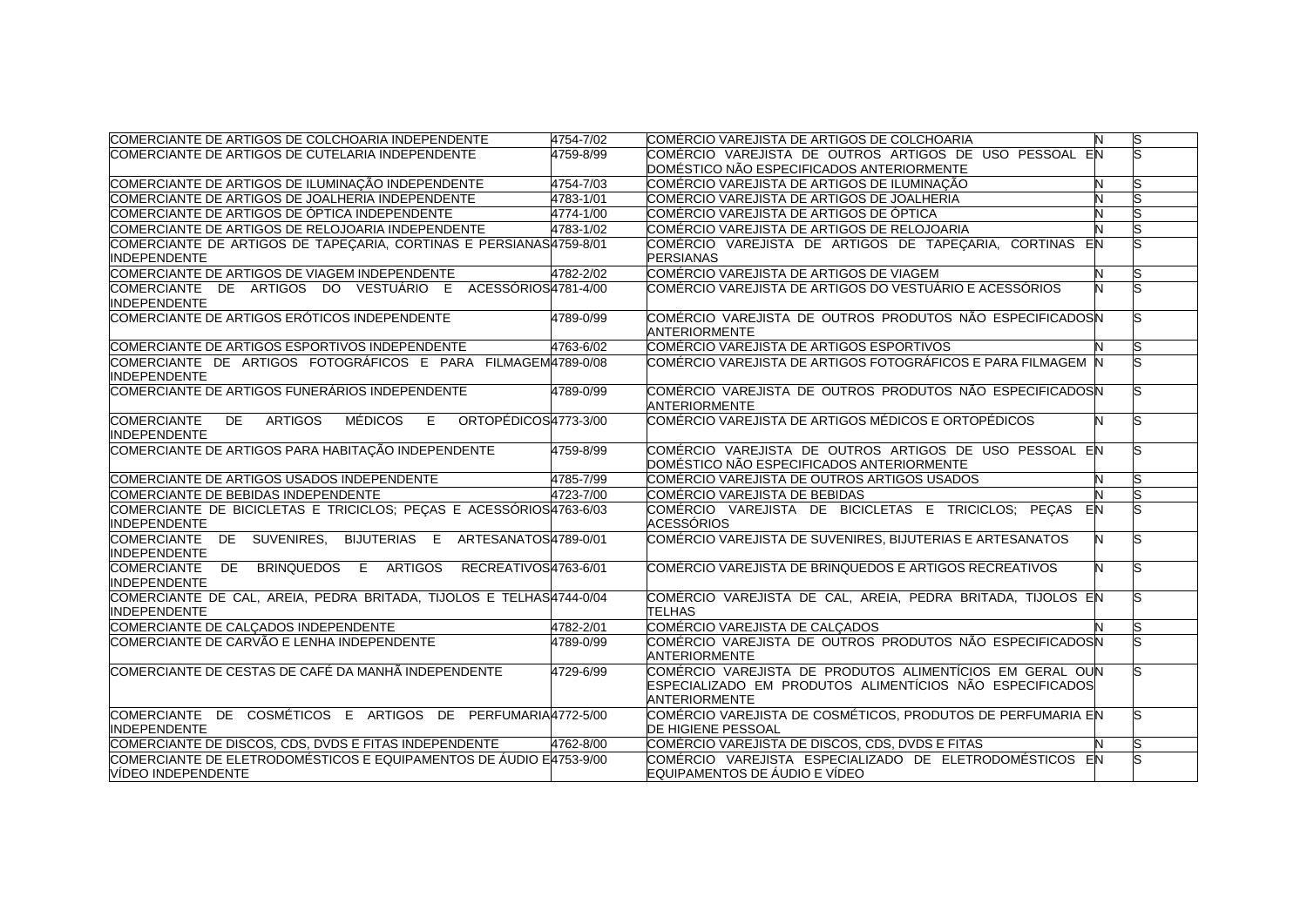| COMERCIANTE DE ARTIGOS DE COLCHOARIA INDEPENDENTE                                                      | 4754-7/02            | COMÉRCIO VAREJISTA DE ARTIGOS DE COLCHOARIA                                                                                                  | N  | ls |
|--------------------------------------------------------------------------------------------------------|----------------------|----------------------------------------------------------------------------------------------------------------------------------------------|----|----|
| COMERCIANTE DE ARTIGOS DE CUTELARIA INDEPENDENTE                                                       | 4759-8/99            | COMÉRCIO VAREJISTA DE OUTROS ARTIGOS DE USO PESSOAL EN                                                                                       |    |    |
|                                                                                                        |                      | DOMÉSTICO NÃO ESPECIFICADOS ANTERIORMENTE                                                                                                    |    |    |
| COMERCIANTE DE ARTIGOS DE ILUMINAÇÃO INDEPENDENTE                                                      | 4754-7/03            | COMÉRCIO VAREJISTA DE ARTIGOS DE ILUMINAÇÃO                                                                                                  | N  |    |
| COMERCIANTE DE ARTIGOS DE JOALHERIA INDEPENDENTE                                                       | 4783-1/01            | COMÉRCIO VAREJISTA DE ARTIGOS DE JOALHERIA                                                                                                   |    |    |
| COMERCIANTE DE ARTIGOS DE ÓPTICA INDEPENDENTE                                                          | 4774-1/00            | COMÉRCIO VAREJISTA DE ARTIGOS DE ÓPTICA                                                                                                      |    |    |
| COMERCIANTE DE ARTIGOS DE RELOJOARIA INDEPENDENTE                                                      | 4783-1/02            | COMÉRCIO VAREJISTA DE ARTIGOS DE RELOJOARIA                                                                                                  |    |    |
| COMERCIANTE DE ARTIGOS DE TAPECARIA, CORTINAS E PERSIANAS4759-8/01<br><b>INDEPENDENTE</b>              |                      | COMÉRCIO VAREJISTA DE ARTIGOS DE TAPEÇARIA, CORTINAS EN<br><b>PERSIANAS</b>                                                                  |    |    |
| COMERCIANTE DE ARTIGOS DE VIAGEM INDEPENDENTE                                                          | 4782-2/02            | COMÉRCIO VAREJISTA DE ARTIGOS DE VIAGEM                                                                                                      | N  | S  |
| COMERCIANTE DE ARTIGOS DO VESTUÁRIO E ACESSÓRIOS4781-4/00<br><b>INDEPENDENTE</b>                       |                      | COMÉRCIO VAREJISTA DE ARTIGOS DO VESTUÁRIO E ACESSÓRIOS                                                                                      | N  |    |
| COMERCIANTE DE ARTIGOS ERÓTICOS INDEPENDENTE                                                           | 4789-0/99            | COMÉRCIO VAREJISTA DE OUTROS PRODUTOS NÃO ESPECIFICADOSIN<br><b>ANTERIORMENTE</b>                                                            |    |    |
| COMERCIANTE DE ARTIGOS ESPORTIVOS INDEPENDENTE                                                         | 4763-6/02            | COMÉRCIO VAREJISTA DE ARTIGOS ESPORTIVOS                                                                                                     |    | ls |
| COMERCIANTE DE ARTIGOS FOTOGRÁFICOS E PARA FILMAGEM4789-0/08<br><b>INDEPENDENTE</b>                    |                      | COMÉRCIO VAREJISTA DE ARTIGOS FOTOGRÁFICOS E PARA FILMAGEM N                                                                                 |    |    |
| COMERCIANTE DE ARTIGOS FUNERÁRIOS INDEPENDENTE                                                         | 4789-0/99            | COMÉRCIO VAREJISTA DE OUTROS PRODUTOS NÃO ESPECIFICADOSN<br><b>ANTERIORMENTE</b>                                                             |    |    |
| <b>ARTIGOS</b><br>MÉDICOS<br>E ORTOPÉDICOS4773-3/00<br><b>COMERCIANTE</b><br>DE<br><b>INDEPENDENTE</b> |                      | COMÉRCIO VAREJISTA DE ARTIGOS MÉDICOS E ORTOPÉDICOS                                                                                          | N  |    |
| COMERCIANTE DE ARTIGOS PARA HABITAÇÃO INDEPENDENTE                                                     | 4759-8/99            | COMÉRCIO VAREJISTA DE OUTROS ARTIGOS DE USO PESSOAL EN<br>DOMÉSTICO NÃO ESPECIFICADOS ANTERIORMENTE                                          |    |    |
| COMERCIANTE DE ARTIGOS USADOS INDEPENDENTE                                                             | 4785-7/99            | COMÉRCIO VAREJISTA DE OUTROS ARTIGOS USADOS                                                                                                  | N  |    |
| COMERCIANTE DE BEBIDAS INDEPENDENTE                                                                    | 4723-7/00            | COMÉRCIO VAREJISTA DE BEBIDAS                                                                                                                |    |    |
| COMERCIANTE DE BICICLETAS E TRICICLOS; PEÇAS E ACESSÓRIOS4763-6/03<br><b>INDEPENDENTE</b>              |                      | COMÉRCIO VAREJISTA DE BICICLETAS E TRICICLOS; PEÇAS<br><b>ACESSÓRIOS</b>                                                                     | EN |    |
| COMERCIANTE DE SUVENIRES, BIJUTERIAS E ARTESANATOS4789-0/01<br><b>INDEPENDENTE</b>                     |                      | COMÉRCIO VAREJISTA DE SUVENIRES, BIJUTERIAS E ARTESANATOS                                                                                    | N  |    |
| BRINQUEDOS E ARTIGOS<br><b>COMERCIANTE</b><br>DE<br><b>INDEPENDENTE</b>                                | RECREATIVOS4763-6/01 | COMÉRCIO VAREJISTA DE BRINQUEDOS E ARTIGOS RECREATIVOS                                                                                       | N  |    |
| COMERCIANTE DE CAL, AREIA, PEDRA BRITADA, TIJOLOS E TELHAS4744-0/04<br><b>INDEPENDENTE</b>             |                      | COMÉRCIO VAREJISTA DE CAL, AREIA, PEDRA BRITADA, TIJOLOS EN<br><b>TELHAS</b>                                                                 |    |    |
| COMERCIANTE DE CALÇADOS INDEPENDENTE                                                                   | 4782-2/01            | COMÉRCIO VAREJISTA DE CALÇADOS                                                                                                               |    |    |
| COMERCIANTE DE CARVÃO E LENHA INDEPENDENTE                                                             | 4789-0/99            | COMÉRCIO VAREJISTA DE OUTROS PRODUTOS NÃO ESPECIFICADOSN<br><b>ANTERIORMENTE</b>                                                             |    |    |
| COMERCIANTE DE CESTAS DE CAFÉ DA MANHÃ INDEPENDENTE                                                    | 4729-6/99            | COMÉRCIO VAREJISTA DE PRODUTOS ALIMENTÍCIOS EM GERAL OUN<br>ESPECIALIZADO EM PRODUTOS ALIMENTÍCIOS NÃO ESPECIFICADOS<br><b>ANTERIORMENTE</b> |    |    |
| COMERCIANTE DE COSMÉTICOS E ARTIGOS DE PERFUMARIA4772-5/00<br><b>INDEPENDENTE</b>                      |                      | COMÉRCIO VAREJISTA DE COSMÉTICOS, PRODUTOS DE PERFUMARIA EN<br><b>DE HIGIENE PESSOAL</b>                                                     |    |    |
| COMERCIANTE DE DISCOS, CDS, DVDS E FITAS INDEPENDENTE                                                  | 4762-8/00            | COMÉRCIO VAREJISTA DE DISCOS. CDS. DVDS E FITAS                                                                                              |    |    |
| COMERCIANTE DE ELETRODOMÉSTICOS E EQUIPAMENTOS DE ÁUDIO E4753-9/00                                     |                      | COMÉRCIO VAREJISTA ESPECIALIZADO DE ELETRODOMÉSTICOS EN                                                                                      |    |    |
| VÍDEO INDEPENDENTE                                                                                     |                      | EQUIPAMENTOS DE ÁUDIO E VÍDEO                                                                                                                |    |    |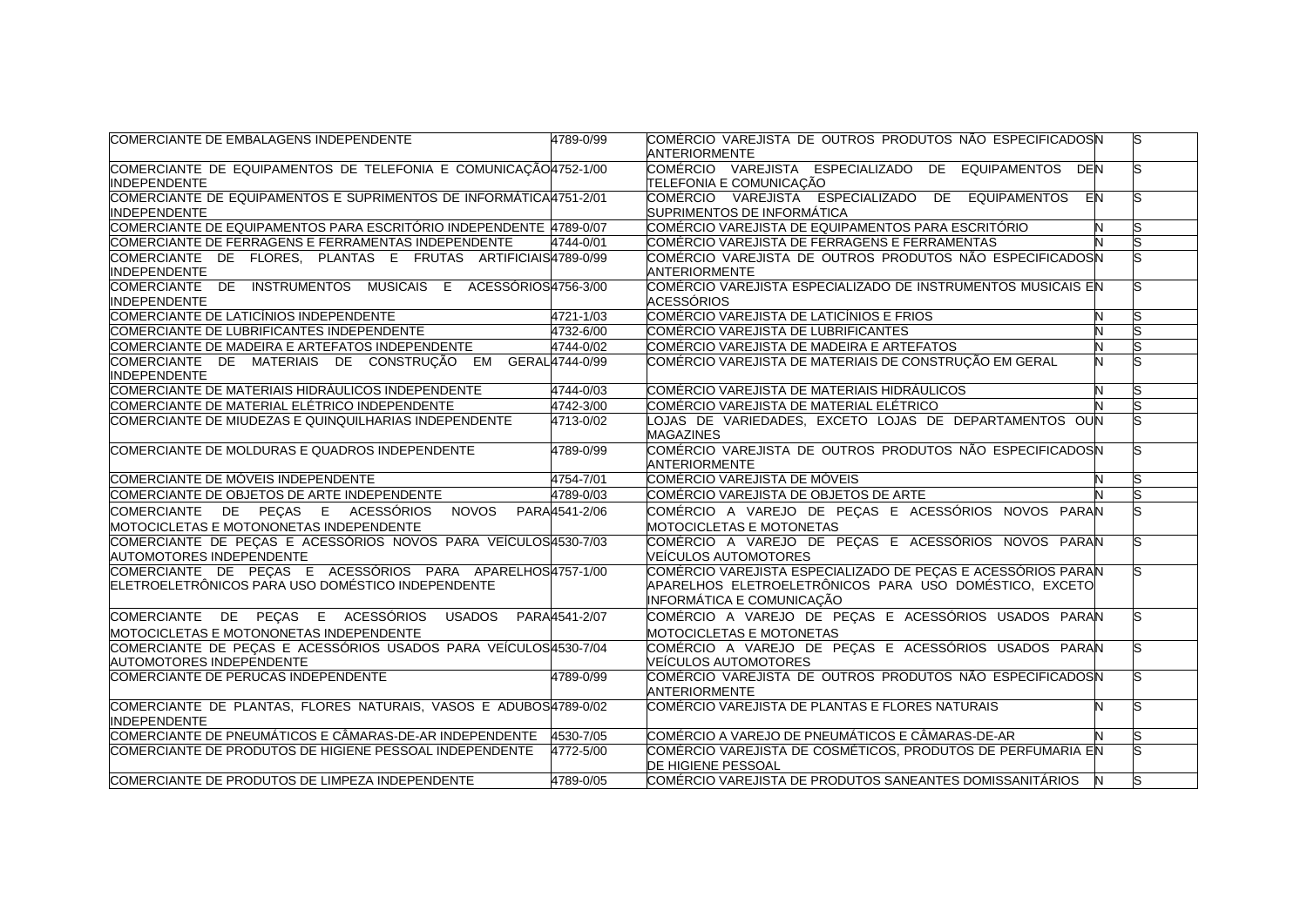| COMERCIANTE DE EMBALAGENS INDEPENDENTE                                                                         | 4789-0/99 | COMÉRCIO VAREJISTA DE OUTROS PRODUTOS NÃO ESPECIFICADOSN<br><b>ANTERIORMENTE</b>                                                                    |    |  |
|----------------------------------------------------------------------------------------------------------------|-----------|-----------------------------------------------------------------------------------------------------------------------------------------------------|----|--|
| COMERCIANTE DE EQUIPAMENTOS DE TELEFONIA E COMUNICAÇÃO 4752-1/00<br><b>INDEPENDENTE</b>                        |           | COMÉRCIO VAREJISTA ESPECIALIZADO DE EQUIPAMENTOS<br>DEN<br>Z<br>TELEFONIA E COMUNICAÇÃO                                                             |    |  |
| COMERCIANTE DE EQUIPAMENTOS E SUPRIMENTOS DE INFORMÁTICA4751-2/01<br>INDEPENDENTE                              |           | COMÉRCIO VAREJISTA ESPECIALIZADO<br>DE EQUIPAMENTOS<br>SUPRIMENTOS DE INFORMÁTICA                                                                   | EN |  |
| COMERCIANTE DE EQUIPAMENTOS PARA ESCRITÓRIO INDEPENDENTE 4789-0/07                                             |           | COMÉRCIO VAREJISTA DE EQUIPAMENTOS PARA ESCRITÓRIO                                                                                                  | N  |  |
| COMERCIANTE DE FERRAGENS E FERRAMENTAS INDEPENDENTE                                                            | 4744-0/01 | COMÉRCIO VAREJISTA DE FERRAGENS E FERRAMENTAS                                                                                                       |    |  |
| COMERCIANTE DE FLORES. PLANTAS E FRUTAS ARTIFICIAIS 4789-0/99<br><b>INDEPENDENTE</b>                           |           | COMÉRCIO VAREJISTA DE OUTROS PRODUTOS NÃO ESPECIFICADOSN<br>ANTERIORMENTE                                                                           |    |  |
| COMERCIANTE DE INSTRUMENTOS MUSICAIS E ACESSÓRIOS4756-3/00<br><b>INDEPENDENTE</b>                              |           | COMÉRCIO VAREJISTA ESPECIALIZADO DE INSTRUMENTOS MUSICAIS EN<br><b>ACESSÓRIOS</b>                                                                   |    |  |
| COMERCIANTE DE LATICÍNIOS INDEPENDENTE                                                                         | 4721-1/03 | COMÉRCIO VAREJISTA DE LATICÍNIOS E FRIOS                                                                                                            | N  |  |
| COMERCIANTE DE LUBRIFICANTES INDEPENDENTE                                                                      | 4732-6/00 | COMÉRCIO VAREJISTA DE LUBRIFICANTES                                                                                                                 |    |  |
| COMERCIANTE DE MADEIRA E ARTEFATOS INDEPENDENTE                                                                | 4744-0/02 | COMÉRCIO VAREJISTA DE MADEIRA E ARTEFATOS                                                                                                           |    |  |
| COMERCIANTE DE MATERIAIS DE CONSTRUÇÃO EM GERAL 4744-0/99<br><b>INDEPENDENTE</b>                               |           | COMÉRCIO VAREJISTA DE MATERIAIS DE CONSTRUÇÃO EM GERAL                                                                                              | N  |  |
| COMERCIANTE DE MATERIAIS HIDRÁULICOS INDEPENDENTE                                                              | 4744-0/03 | COMÉRCIO VAREJISTA DE MATERIAIS HIDRÁULICOS                                                                                                         | N  |  |
| COMERCIANTE DE MATERIAL ELÉTRICO INDEPENDENTE                                                                  | 4742-3/00 | COMÉRCIO VAREJISTA DE MATERIAL ELÉTRICO                                                                                                             |    |  |
| COMERCIANTE DE MIUDEZAS E QUINQUILHARIAS INDEPENDENTE                                                          | 4713-0/02 | LOJAS DE VARIEDADES, EXCETO LOJAS DE DEPARTAMENTOS OUN<br><b>MAGAZINES</b>                                                                          |    |  |
| COMERCIANTE DE MOLDURAS E QUADROS INDEPENDENTE                                                                 | 4789-0/99 | COMÉRCIO VAREJISTA DE OUTROS PRODUTOS NÃO ESPECIFICADOSN<br><b>ANTERIORMENTE</b>                                                                    |    |  |
| COMERCIANTE DE MÓVEIS INDEPENDENTE                                                                             | 4754-7/01 | COMÉRCIO VAREJISTA DE MÓVEIS                                                                                                                        |    |  |
| COMERCIANTE DE OBJETOS DE ARTE INDEPENDENTE                                                                    | 4789-0/03 | COMÉRCIO VAREJISTA DE OBJETOS DE ARTE                                                                                                               |    |  |
| COMERCIANTE DE PECAS E ACESSÓRIOS NOVOS PARA4541-2/06<br>MOTOCICLETAS E MOTONONETAS INDEPENDENTE               |           | COMÉRCIO A VAREJO DE PEÇAS E ACESSÓRIOS NOVOS PARAN<br>MOTOCICLETAS E MOTONETAS                                                                     |    |  |
| COMERCIANTE DE PEÇAS E ACESSÓRIOS NOVOS PARA VEÍCULOSA530-7/03<br>AUTOMOTORES INDEPENDENTE                     |           | COMÉRCIO A VAREJO DE PEÇAS E ACESSÓRIOS NOVOS PARAN<br>VEÍCULOS AUTOMOTORES                                                                         |    |  |
| COMERCIANTE DE PEÇAS E ACESSÓRIOS PARA APARELHOS4757-1/00<br>ELETROELETRÔNICOS PARA USO DOMÉSTICO INDEPENDENTE |           | COMÉRCIO VAREJISTA ESPECIALIZADO DE PEÇAS E ACESSÓRIOS PARAN<br>APARELHOS ELETROELETRÔNICOS PARA USO DOMÉSTICO, EXCETO<br>INFORMÁTICA E COMUNICAÇÃO |    |  |
| COMERCIANTE DE PEÇAS E ACESSÓRIOS USADOS PARA4541-2/07<br>MOTOCICLETAS E MOTONONETAS INDEPENDENTE              |           | COMÉRCIO A VAREJO DE PEÇAS E ACESSÓRIOS USADOS PARAN<br><b>IMOTOCICLETAS E MOTONETAS</b>                                                            |    |  |
| COMERCIANTE DE PEÇAS E ACESSÓRIOS USADOS PARA VEÍCULOS 4530-7/04<br>AUTOMOTORES INDEPENDENTE                   |           | COMÉRCIO A VAREJO DE PEÇAS E ACESSÓRIOS USADOS PARAN<br>VEÍCULOS AUTOMOTORES                                                                        |    |  |
| COMERCIANTE DE PERUCAS INDEPENDENTE                                                                            | 4789-0/99 | COMÉRCIO VAREJISTA DE OUTROS PRODUTOS NÃO ESPECIFICADOSN<br><b>ANTERIORMENTE</b>                                                                    |    |  |
| COMERCIANTE DE PLANTAS, FLORES NATURAIS, VASOS E ADUBOS4789-0/02<br><b>INDEPENDENTE</b>                        |           | COMÉRCIO VAREJISTA DE PLANTAS E FLORES NATURAIS                                                                                                     | N  |  |
| COMERCIANTE DE PNEUMÁTICOS E CÂMARAS-DE-AR INDEPENDENTE 4530-7/05                                              |           | ICOMÉRCIO A VAREJO DE PNEUMÁTICOS E CÂMARAS-DE-AR                                                                                                   |    |  |
| COMERCIANTE DE PRODUTOS DE HIGIENE PESSOAL INDEPENDENTE                                                        | 4772-5/00 | COMÉRCIO VAREJISTA DE COSMÉTICOS, PRODUTOS DE PERFUMARIA EN<br><b>DE HIGIENE PESSOAL</b>                                                            |    |  |
| COMERCIANTE DE PRODUTOS DE LIMPEZA INDEPENDENTE                                                                | 4789-0/05 | COMÉRCIO VAREJISTA DE PRODUTOS SANEANTES DOMISSANITÁRIOS │ N                                                                                        |    |  |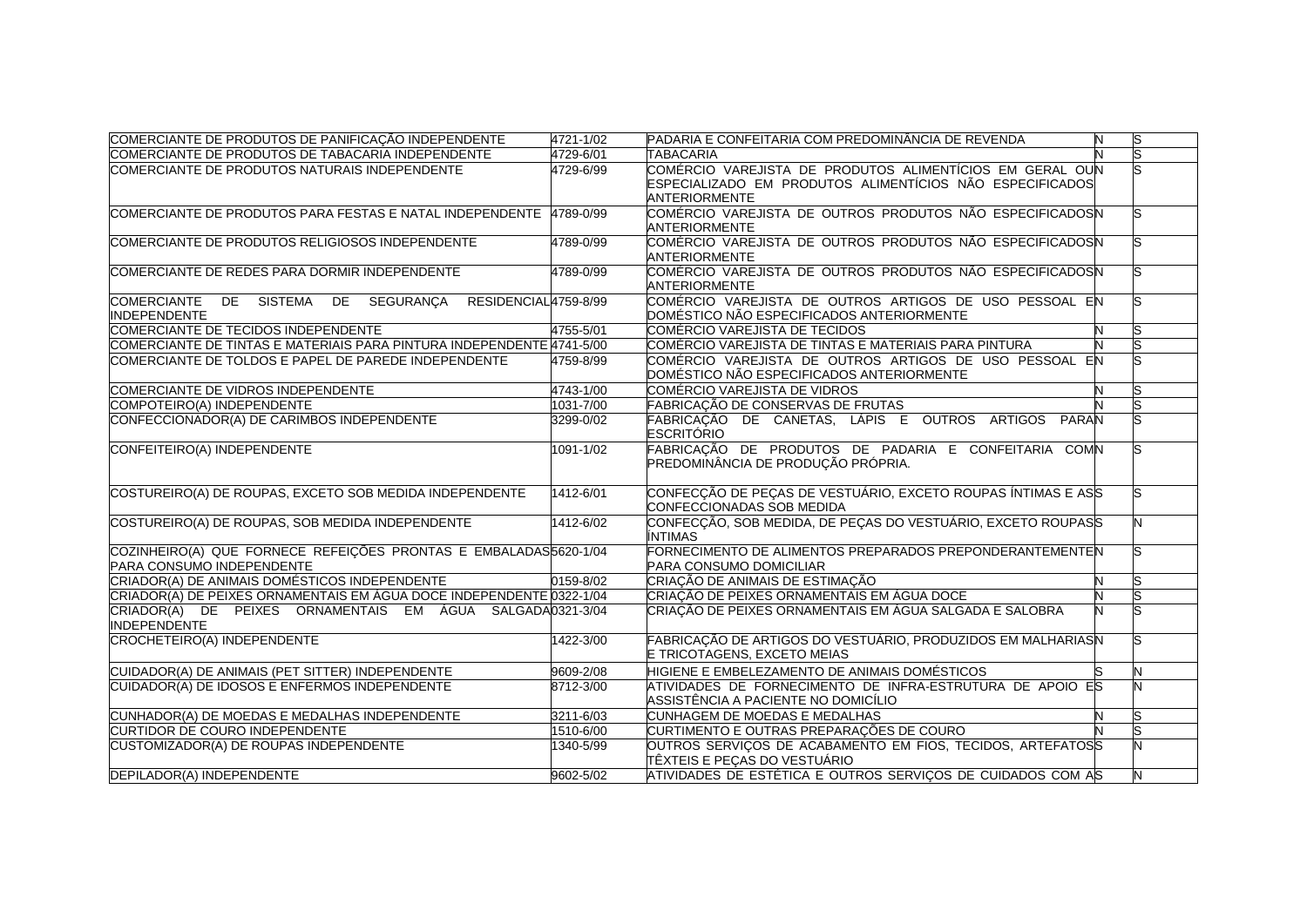| COMERCIANTE DE PRODUTOS DE PANIFICAÇÃO INDEPENDENTE                              | 4721-1/02 | PADARIA E CONFEITARIA COM PREDOMINÂNCIA DE REVENDA                                                  | S |
|----------------------------------------------------------------------------------|-----------|-----------------------------------------------------------------------------------------------------|---|
| COMERCIANTE DE PRODUTOS DE TABACARIA INDEPENDENTE                                | 4729-6/01 | <b>TABACARIA</b>                                                                                    |   |
| COMERCIANTE DE PRODUTOS NATURAIS INDEPENDENTE                                    | 4729-6/99 | COMÉRCIO VAREJISTA DE PRODUTOS ALIMENTÍCIOS EM GERAL OUN                                            |   |
|                                                                                  |           | ESPECIALIZADO EM PRODUTOS ALIMENTÍCIOS NÃO ESPECIFICADOS                                            |   |
|                                                                                  |           | <b>ANTERIORMENTE</b>                                                                                |   |
| COMERCIANTE DE PRODUTOS PARA FESTAS E NATAL INDEPENDENTE 4789-0/99               |           | COMÉRCIO VAREJISTA DE OUTROS PRODUTOS NÃO ESPECIFICADOSN                                            |   |
|                                                                                  |           | <b>ANTERIORMENTE</b>                                                                                |   |
| COMERCIANTE DE PRODUTOS RELIGIOSOS INDEPENDENTE                                  | 4789-0/99 | COMÉRCIO VAREJISTA DE OUTROS PRODUTOS NÃO ESPECIFICADOSN                                            |   |
|                                                                                  |           | <b>ANTERIORMENTE</b>                                                                                |   |
| COMERCIANTE DE REDES PARA DORMIR INDEPENDENTE                                    | 4789-0/99 | COMÉRCIO VAREJISTA DE OUTROS PRODUTOS NÃO ESPECIFICADOSIN                                           |   |
|                                                                                  |           | <b>ANTERIORMENTE</b>                                                                                |   |
| DE SISTEMA DE SEGURANÇA<br><b>COMERCIANTE</b><br>RESIDENCIAL4759-8/99            |           | COMÉRCIO VAREJISTA DE OUTROS ARTIGOS DE USO PESSOAL EN                                              |   |
| <b>INDEPENDENTE</b>                                                              |           | DOMÉSTICO NÃO ESPECIFICADOS ANTERIORMENTE                                                           |   |
| COMERCIANTE DE TECIDOS INDEPENDENTE                                              | 4755-5/01 | COMÉRCIO VAREJISTA DE TECIDOS                                                                       |   |
| COMERCIANTE DE TINTAS E MATERIAIS PARA PINTURA INDEPENDENTE 4741-5/00            |           | COMÉRCIO VAREJISTA DE TINTAS E MATERIAIS PARA PINTURA                                               |   |
| COMERCIANTE DE TOLDOS E PAPEL DE PAREDE INDEPENDENTE                             | 4759-8/99 | COMÉRCIO VAREJISTA DE OUTROS ARTIGOS DE USO PESSOAL EN<br>DOMÉSTICO NÃO ESPECIFICADOS ANTERIORMENTE |   |
| COMERCIANTE DE VIDROS INDEPENDENTE                                               | 4743-1/00 | COMÉRCIO VAREJISTA DE VIDROS                                                                        |   |
| COMPOTEIRO(A) INDEPENDENTE                                                       | 1031-7/00 | FABRICACÃO DE CONSERVAS DE FRUTAS                                                                   |   |
| CONFECCIONADOR(A) DE CARIMBOS INDEPENDENTE                                       | 3299-0/02 | FABRICAÇÃO DE CANETAS, LÁPIS E OUTROS ARTIGOS PARAN                                                 |   |
|                                                                                  |           | <b>ESCRITÓRIO</b>                                                                                   |   |
| CONFEITEIRO(A) INDEPENDENTE                                                      | 1091-1/02 | FABRICAÇÃO DE PRODUTOS DE PADARIA E CONFEITARIA COMN                                                |   |
|                                                                                  |           | PREDOMINÂNCIA DE PRODUÇÃO PRÓPRIA.                                                                  |   |
|                                                                                  |           |                                                                                                     |   |
| COSTUREIRO(A) DE ROUPAS, EXCETO SOB MEDIDA INDEPENDENTE                          | 1412-6/01 | CONFECÇÃO DE PEÇAS DE VESTUÁRIO, EXCETO ROUPAS ÍNTIMAS E ASS                                        |   |
|                                                                                  |           | CONFECCIONADAS SOB MEDIDA                                                                           |   |
| COSTUREIRO(A) DE ROUPAS, SOB MEDIDA INDEPENDENTE                                 | 1412-6/02 | CONFECÇÃO, SOB MEDIDA, DE PEÇAS DO VESTUÁRIO, EXCETO ROUPASS                                        |   |
|                                                                                  |           | ÍNTIMAS                                                                                             |   |
| COZINHEIRO(A) QUE FORNECE REFEIÇÕES PRONTAS E EMBALADAS5620-1/04                 |           | FORNECIMENTO DE ALIMENTOS PREPARADOS PREPONDERANTEMENTEN                                            |   |
| <b>PARA CONSUMO INDEPENDENTE</b>                                                 |           | <b>PARA CONSUMO DOMICILIAR</b>                                                                      |   |
| CRIADOR(A) DE ANIMAIS DOMÉSTICOS INDEPENDENTE                                    | 0159-8/02 | CRIAÇÃO DE ANIMAIS DE ESTIMAÇÃO                                                                     |   |
| CRIADOR(A) DE PEIXES ORNAMENTAIS EM ÁGUA DOCE INDEPENDENTE 0322-1/04             |           | CRIAÇÃO DE PEIXES ORNAMENTAIS EM ÁGUA DOCE                                                          |   |
| CRIADOR(A) DE PEIXES ORNAMENTAIS EM ÁGUA SALGADA0321-3/04<br><b>INDEPENDENTE</b> |           | CRIAÇÃO DE PEIXES ORNAMENTAIS EM ÁGUA SALGADA E SALOBRA                                             |   |
| CROCHETEIRO(A) INDEPENDENTE                                                      | 1422-3/00 | FABRICAÇÃO DE ARTIGOS DO VESTUÁRIO, PRODUZIDOS EM MALHARIASN                                        |   |
|                                                                                  |           | E TRICOTAGENS, EXCETO MEIAS                                                                         |   |
| CUIDADOR(A) DE ANIMAIS (PET SITTER) INDEPENDENTE                                 | 9609-2/08 | HIGIENE E EMBELEZAMENTO DE ANIMAIS DOMÉSTICOS                                                       |   |
| CUIDADOR(A) DE IDOSOS E ENFERMOS INDEPENDENTE                                    | 8712-3/00 | ATIVIDADES DE FORNECIMENTO DE INFRA-ESTRUTURA DE APOIO ES                                           |   |
|                                                                                  |           | ASSISTÊNCIA A PACIENTE NO DOMICÍLIO                                                                 |   |
| CUNHADOR(A) DE MOEDAS E MEDALHAS INDEPENDENTE                                    | 3211-6/03 | CUNHAGEM DE MOEDAS E MEDALHAS                                                                       |   |
| <b>CURTIDOR DE COURO INDEPENDENTE</b>                                            | 1510-6/00 | CURTIMENTO E OUTRAS PREPARAÇÕES DE COURO                                                            |   |
| CUSTOMIZADOR(A) DE ROUPAS INDEPENDENTE                                           | 1340-5/99 | OUTROS SERVIÇOS DE ACABAMENTO EM FIOS, TECIDOS, ARTEFATOSS                                          |   |
|                                                                                  |           | ITÊXTEIS E PECAS DO VESTUÁRIO                                                                       |   |
| DEPILADOR(A) INDEPENDENTE                                                        | 9602-5/02 | ATIVIDADES DE ESTÉTICA E OUTROS SERVIÇOS DE CUIDADOS COM AS                                         | N |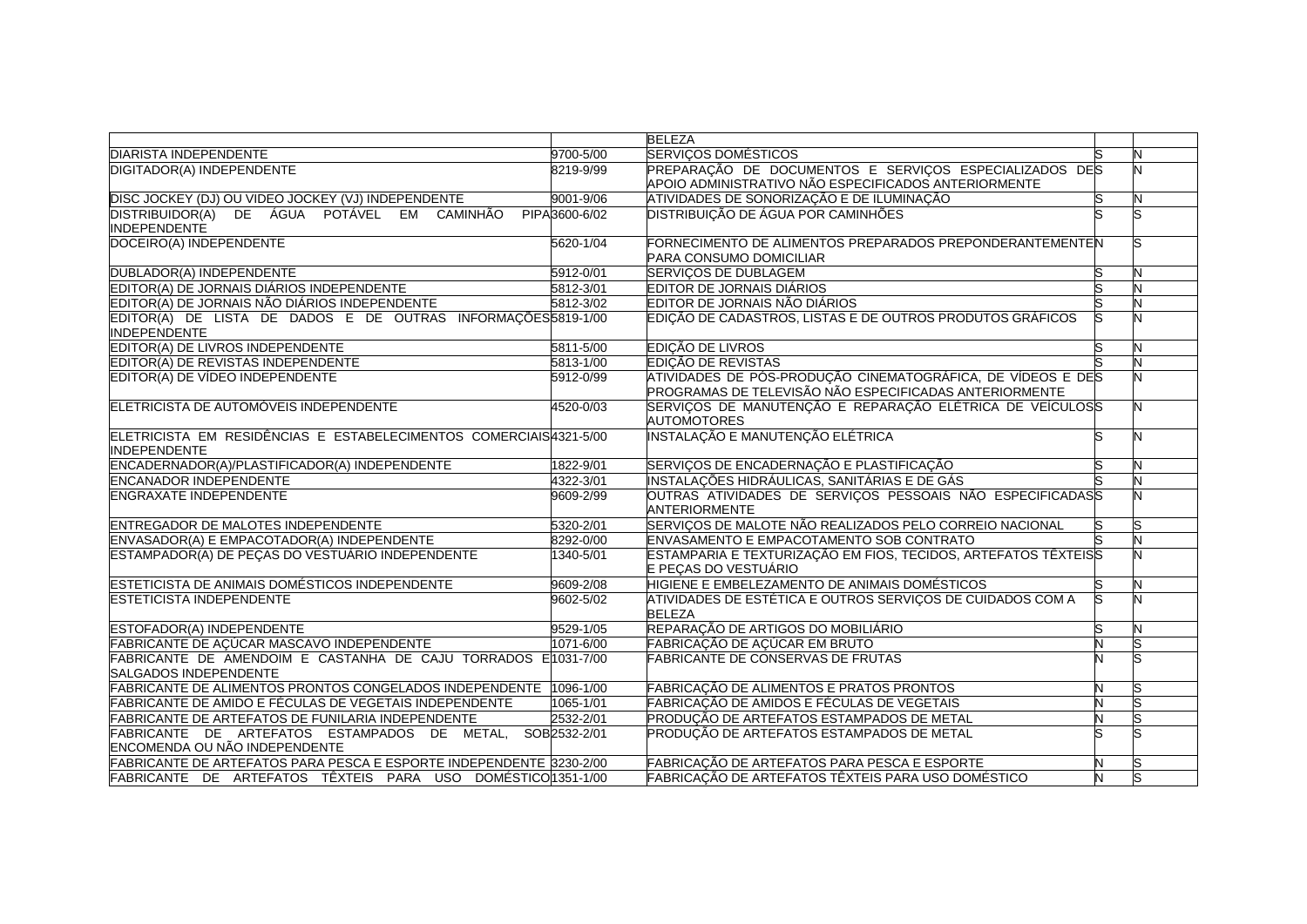|                                                                                            |               | <b>BELEZA</b>                                                                                                         |    |   |
|--------------------------------------------------------------------------------------------|---------------|-----------------------------------------------------------------------------------------------------------------------|----|---|
| <b>DIARISTA INDEPENDENTE</b>                                                               | 9700-5/00     | <b>SERVIÇOS DOMÉSTICOS</b>                                                                                            |    |   |
| DIGITADOR(A) INDEPENDENTE                                                                  | 8219-9/99     | PREPARAÇÃO DE DOCUMENTOS E SERVIÇOS ESPECIALIZADOS DES<br>APOIO ADMINISTRATIVO NÃO ESPECIFICADOS ANTERIORMENTE        |    |   |
| DISC JOCKEY (DJ) OU VIDEO JOCKEY (VJ) INDEPENDENTE                                         | 9001-9/06     | ATIVIDADES DE SONORIZAÇÃO E DE ILUMINAÇÃO                                                                             | lS |   |
| DISTRIBUIDOR(A) DE ÁGUA POTÁVEL EM CAMINHÃO<br><b>INDEPENDENTE</b>                         | PIPA3600-6/02 | <b>DISTRIBUIÇÃO DE ÁGUA POR CAMINHÕES</b>                                                                             |    |   |
| DOCEIRO(A) INDEPENDENTE                                                                    | 5620-1/04     | FORNECIMENTO DE ALIMENTOS PREPARADOS PREPONDERANTEMENTEN<br><b>PARA CONSUMO DOMICILIAR</b>                            |    |   |
| DUBLADOR(A) INDEPENDENTE                                                                   | 5912-0/01     | <b>SERVIÇOS DE DUBLAGEM</b>                                                                                           | S  |   |
| EDITOR(A) DE JORNAIS DIÁRIOS INDEPENDENTE                                                  | 5812-3/01     | EDITOR DE JORNAIS DIÁRIOS                                                                                             | S  |   |
| EDITOR(A) DE JORNAIS NÃO DIÁRIOS INDEPENDENTE                                              | 5812-3/02     | EDITOR DE JORNAIS NÃO DIÁRIOS                                                                                         |    |   |
| EDITOR(A) DE LISTA DE DADOS E DE OUTRAS INFORMAÇÕES 5819-1/00<br><b>INDEPENDENTE</b>       |               | EDIÇÃO DE CADASTROS, LISTAS E DE OUTROS PRODUTOS GRÁFICOS                                                             |    |   |
| EDITOR(A) DE LIVROS INDEPENDENTE                                                           | 5811-5/00     | EDIÇÃO DE LIVROS                                                                                                      |    |   |
| EDITOR(A) DE REVISTAS INDEPENDENTE                                                         | 5813-1/00     | <b>EDIÇÃO DE REVISTAS</b>                                                                                             |    |   |
| EDITOR(A) DE VÍDEO INDEPENDENTE                                                            | 5912-0/99     | ATIVIDADES DE PÓS-PRODUÇÃO CINEMATOGRÁFICA, DE VÍDEOS E DES<br>PROGRAMAS DE TELEVISÃO NÃO ESPECIFICADAS ANTERIORMENTE |    |   |
| ELETRICISTA DE AUTOMÓVEIS INDEPENDENTE                                                     | 4520-0/03     | SERVIÇOS DE MANUTENÇÃO E REPARAÇÃO ELÉTRICA DE VEÍCULOSS<br><b>AUTOMOTORES</b>                                        |    |   |
| ELETRICISTA EM RESIDÊNCIAS E ESTABELECIMENTOS COMERCIAIS 4321-5/00<br><b>INDEPENDENTE</b>  |               | INSTALAÇÃO E MANUTENÇÃO ELÉTRICA                                                                                      | u  |   |
| ENCADERNADOR(A)/PLASTIFICADOR(A) INDEPENDENTE                                              | 1822-9/01     | SERVIÇOS DE ENCADERNAÇÃO E PLASTIFICAÇÃO                                                                              | S  |   |
| <b>ENCANADOR INDEPENDENTE</b>                                                              | 4322-3/01     | INSTALAÇÕES HIDRÁULICAS, SANITÁRIAS E DE GÁS                                                                          |    |   |
| <b>ENGRAXATE INDEPENDENTE</b>                                                              | 9609-2/99     | OUTRAS ATIVIDADES DE SERVIÇOS PESSOAIS NÃO ESPECIFICADASS<br><b>ANTERIORMENTE</b>                                     |    |   |
| ENTREGADOR DE MALOTES INDEPENDENTE                                                         | 5320-2/01     | SERVIÇOS DE MALOTE NÃO REALIZADOS PELO CORREIO NACIONAL                                                               | lS |   |
| ENVASADOR(A) E EMPACOTADOR(A) INDEPENDENTE                                                 | 8292-0/00     | ENVASAMENTO E EMPACOTAMENTO SOB CONTRATO                                                                              |    |   |
| ESTAMPADOR(A) DE PEÇAS DO VESTUÁRIO INDEPENDENTE                                           | 1340-5/01     | ESTAMPARIA E TEXTURIZAÇÃO EM FIOS, TECIDOS, ARTEFATOS TÊXTEISS<br>E PEÇAS DO VESTUÁRIO                                |    |   |
| ESTETICISTA DE ANIMAIS DOMÉSTICOS INDEPENDENTE                                             | 9609-2/08     | HIGIENE E EMBELEZAMENTO DE ANIMAIS DOMÉSTICOS                                                                         | ls | И |
| <b>ESTETICISTA INDEPENDENTE</b>                                                            | 9602-5/02     | ATIVIDADES DE ESTÉTICA E OUTROS SERVIÇOS DE CUIDADOS COM A<br><b>BELEZA</b>                                           | S  |   |
| ESTOFADOR(A) INDEPENDENTE                                                                  | 9529-1/05     | REPARAÇÃO DE ARTIGOS DO MOBILIÁRIO                                                                                    | S  |   |
| FABRICANTE DE AÇÚCAR MASCAVO INDEPENDENTE                                                  | 1071-6/00     | FABRICAÇÃO DE AÇÚCAR EM BRUTO                                                                                         |    |   |
| FABRICANTE DE AMENDOIM E CASTANHA DE CAJU TORRADOS E1031-7/00<br>SALGADOS INDEPENDENTE     |               | <b>FABRICANTE DE CONSERVAS DE FRUTAS</b>                                                                              |    |   |
| FABRICANTE DE ALIMENTOS PRONTOS CONGELADOS INDEPENDENTE 1096-1/00                          |               | FABRICAÇÃO DE ALIMENTOS E PRATOS PRONTOS                                                                              | Ν  |   |
| FABRICANTE DE AMIDO E FÉCULAS DE VEGETAIS INDEPENDENTE                                     | 1065-1/01     | FABRICAÇÃO DE AMIDOS E FÉCULAS DE VEGETAIS                                                                            |    |   |
| <b>FABRICANTE DE ARTEFATOS DE FUNILARIA INDEPENDENTE</b>                                   | 2532-2/01     | PRODUÇÃO DE ARTEFATOS ESTAMPADOS DE METAL                                                                             | N  |   |
| FABRICANTE DE ARTEFATOS ESTAMPADOS DE METAL, SOB2532-2/01<br>ENCOMENDA OU NÃO INDEPENDENTE |               | PRODUÇÃO DE ARTEFATOS ESTAMPADOS DE METAL                                                                             |    |   |
| FABRICANTE DE ARTEFATOS PARA PESCA E ESPORTE INDEPENDENTE 3230-2/00                        |               | FABRICAÇÃO DE ARTEFATOS PARA PESCA E ESPORTE                                                                          |    |   |
| FABRICANTE DE ARTEFATOS TÊXTEIS PARA USO DOMÉSTICO 1351-1/00                               |               | FABRICAÇÃO DE ARTEFATOS TÊXTEIS PARA USO DOMÉSTICO                                                                    |    |   |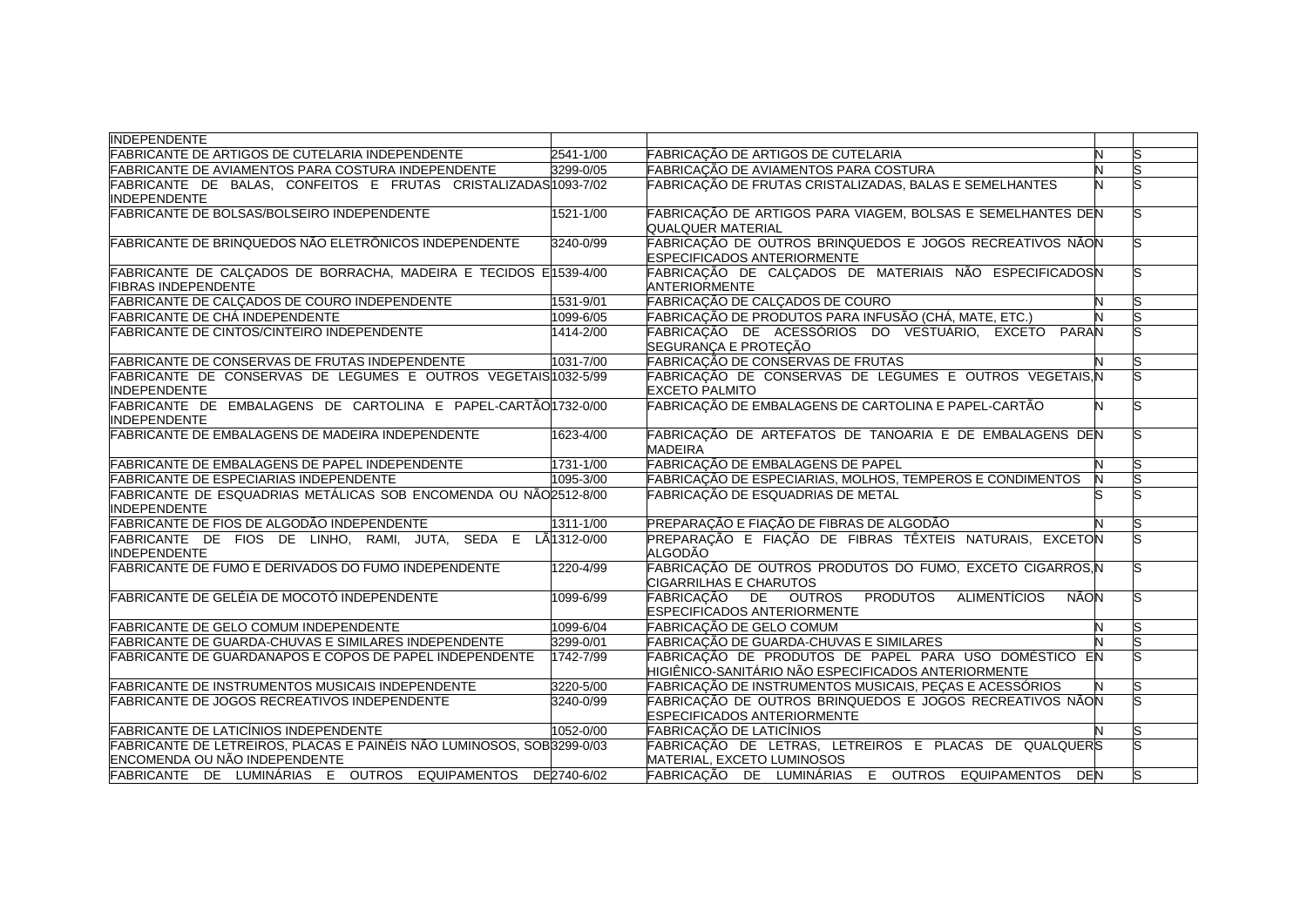| <b>INDEPENDENTE</b>                                                   |               |                                                                     |   |   |
|-----------------------------------------------------------------------|---------------|---------------------------------------------------------------------|---|---|
| <b>FABRICANTE DE ARTIGOS DE CUTELARIA INDEPENDENTE</b>                | $2541 - 1/00$ | FABRICAÇÃO DE ARTIGOS DE CUTELARIA                                  | N |   |
| FABRICANTE DE AVIAMENTOS PARA COSTURA INDEPENDENTE                    | 3299-0/05     | FABRICAÇÃO DE AVIAMENTOS PARA COSTURA                               |   |   |
| FABRICANTE DE BALAS, CONFEITOS E FRUTAS CRISTALIZADAS1093-7/02        |               | FABRICAÇÃO DE FRUTAS CRISTALIZADAS, BALAS E SEMELHANTES             |   |   |
| <b>INDEPENDENTE</b>                                                   |               |                                                                     |   |   |
| <b>FABRICANTE DE BOLSAS/BOLSEIRO INDEPENDENTE</b>                     | 1521-1/00     | FABRICAÇÃO DE ARTIGOS PARA VIAGEM, BOLSAS E SEMELHANTES DEN         |   |   |
|                                                                       |               | <b>QUALQUER MATERIAL</b>                                            |   |   |
| FABRICANTE DE BRINQUEDOS NÃO ELETRÔNICOS INDEPENDENTE                 | 3240-0/99     | FABRICAÇÃO DE OUTROS BRINQUEDOS E JOGOS RECREATIVOS NÃON            |   |   |
|                                                                       |               | <b>ESPECIFICADOS ANTERIORMENTE</b>                                  |   |   |
| FABRICANTE DE CALÇADOS DE BORRACHA, MADEIRA E TECIDOS E1539-4/00      |               | FABRICAÇÃO DE CALÇADOS DE MATERIAIS NÃO ESPECIFICADOSN              |   |   |
| <b>FIBRAS INDEPENDENTE</b>                                            |               | <b>ANTERIORMENTE</b>                                                |   |   |
| <b>FABRICANTE DE CALÇADOS DE COURO INDEPENDENTE</b>                   | 1531-9/01     | FABRICAÇÃO DE CALÇADOS DE COURO                                     |   |   |
| FABRICANTE DE CHÁ INDEPENDENTE                                        | 1099-6/05     | FABRICAÇÃO DE PRODUTOS PARA INFUSÃO (CHÁ, MATE, ETC.)               |   |   |
| <b>FABRICANTE DE CINTOS/CINTEIRO INDEPENDENTE</b>                     | 1414-2/00     | FABRICAÇÃO DE ACESSÓRIOS DO VESTUÁRIO, EXCETO PARAN                 |   |   |
|                                                                       |               | SEGURANÇA E PROTEÇÃO                                                |   |   |
| <b>FABRICANTE DE CONSERVAS DE FRUTAS INDEPENDENTE</b>                 | 1031-7/00     | FABRICAÇÃO DE CONSERVAS DE FRUTAS                                   |   | S |
| FABRICANTE DE CONSERVAS DE LEGUMES E OUTROS VEGETAIS/1032-5/99        |               | FABRICAÇÃO DE CONSERVAS DE LEGUMES E OUTROS VEGETAIS, N             |   |   |
| <b>INDEPENDENTE</b>                                                   |               | <b>EXCETO PALMITO</b>                                               |   |   |
| FABRICANTE DE EMBALAGENS DE CARTOLINA E PAPEL-CARTÃO 1732-0/00        |               | FABRICAÇÃO DE EMBALAGENS DE CARTOLINA E PAPEL-CARTÃO                | N |   |
| <b>INDEPENDENTE</b>                                                   |               |                                                                     |   |   |
| <b>FABRICANTE DE EMBALAGENS DE MADEIRA INDEPENDENTE</b>               | 1623-4/00     | FABRICAÇÃO DE ARTEFATOS DE TANOARIA E DE EMBALAGENS DEN             |   |   |
|                                                                       |               | <b>MADEIRA</b>                                                      |   |   |
| <b>FABRICANTE DE EMBALAGENS DE PAPEL INDEPENDENTE</b>                 | 1731-1/00     | FABRICAÇÃO DE EMBALAGENS DE PAPEL                                   |   |   |
| <b>FABRICANTE DE ESPECIARIAS INDEPENDENTE</b>                         | 1095-3/00     | FABRICAÇÃO DE ESPECIARIAS, MOLHOS, TEMPEROS E CONDIMENTOS           |   |   |
| FABRICANTE DE ESQUADRIAS METÁLICAS SOB ENCOMENDA OU NÃO 2512-8/00     |               | FABRICAÇÃO DE ESQUADRIAS DE METAL                                   |   |   |
| <b>INDEPENDENTE</b>                                                   |               |                                                                     |   |   |
| FABRICANTE DE FIOS DE ALGODÃO INDEPENDENTE                            | 1311-1/00     | PREPARAÇÃO E FIAÇÃO DE FIBRAS DE ALGODÃO                            |   |   |
| FABRICANTE DE FIOS DE LINHO, RAMI, JUTA, SEDA E LA1312-0/00           |               | PREPARAÇÃO E FIAÇÃO DE FIBRAS TÊXTEIS NATURAIS, EXCETON             |   |   |
| <b>INDEPENDENTE</b>                                                   |               | <b>ALGODÃO</b>                                                      |   |   |
| FABRICANTE DE FUMO E DERIVADOS DO FUMO INDEPENDENTE                   | 1220-4/99     | FABRICAÇÃO DE OUTROS PRODUTOS DO FUMO, EXCETO CIGARROS, N           |   |   |
|                                                                       |               | CIGARRILHAS E CHARUTOS                                              |   |   |
| FABRICANTE DE GELÉIA DE MOCOTÓ INDEPENDENTE                           | 1099-6/99     | FABRICAÇÃO DE OUTROS PRODUTOS<br><b>ALIMENTÍCIOS</b><br><b>NÃON</b> |   |   |
|                                                                       |               | <b>ESPECIFICADOS ANTERIORMENTE</b>                                  |   |   |
| <b>FABRICANTE DE GELO COMUM INDEPENDENTE</b>                          | 1099-6/04     | FABRICAÇÃO DE GELO COMUM                                            |   |   |
| FABRICANTE DE GUARDA-CHUVAS E SIMILARES INDEPENDENTE                  | 3299-0/01     | FABRICAÇÃO DE GUARDA-CHUVAS E SIMILARES                             |   |   |
| <b>FABRICANTE DE GUARDANAPOS E COPOS DE PAPEL INDEPENDENTE</b>        | 1742-7/99     | FABRICAÇÃO DE PRODUTOS DE PAPEL PARA USO DOMÉSTICO EN               |   |   |
|                                                                       |               | HIGIÊNICO-SANITÁRIO NÃO ESPECIFICADOS ANTERIORMENTE                 |   |   |
| <b>FABRICANTE DE INSTRUMENTOS MUSICAIS INDEPENDENTE</b>               | 3220-5/00     | FABRICAÇÃO DE INSTRUMENTOS MUSICAIS, PEÇAS E ACESSÓRIOS             |   |   |
| <b>FABRICANTE DE JOGOS RECREATIVOS INDEPENDENTE</b>                   | 3240-0/99     | FABRICAÇÃO DE OUTROS BRINQUEDOS E JOGOS RECREATIVOS NÃON            |   |   |
|                                                                       |               | <b>ESPECIFICADOS ANTERIORMENTE</b>                                  |   |   |
| <b>FABRICANTE DE LATICÍNIOS INDEPENDENTE</b>                          | 1052-0/00     | <b>FABRICAÇÃO DE LATICÍNIOS</b>                                     |   |   |
| FABRICANTE DE LETREIROS, PLACAS E PAINÉIS NÃO LUMINOSOS, SOB3299-0/03 |               | FABRICAÇÃO DE LETRAS, LETREIROS E PLACAS DE QUALQUERS               |   |   |
| ENCOMENDA OU NÃO INDEPENDENTE                                         |               | MATERIAL, EXCETO LUMINOSOS                                          |   |   |
| FABRICANTE DE LUMINÁRIAS E OUTROS EQUIPAMENTOS DE2740-6/02            |               | FABRICAÇÃO DE LUMINÁRIAS E OUTROS EQUIPAMENTOS DEN                  |   |   |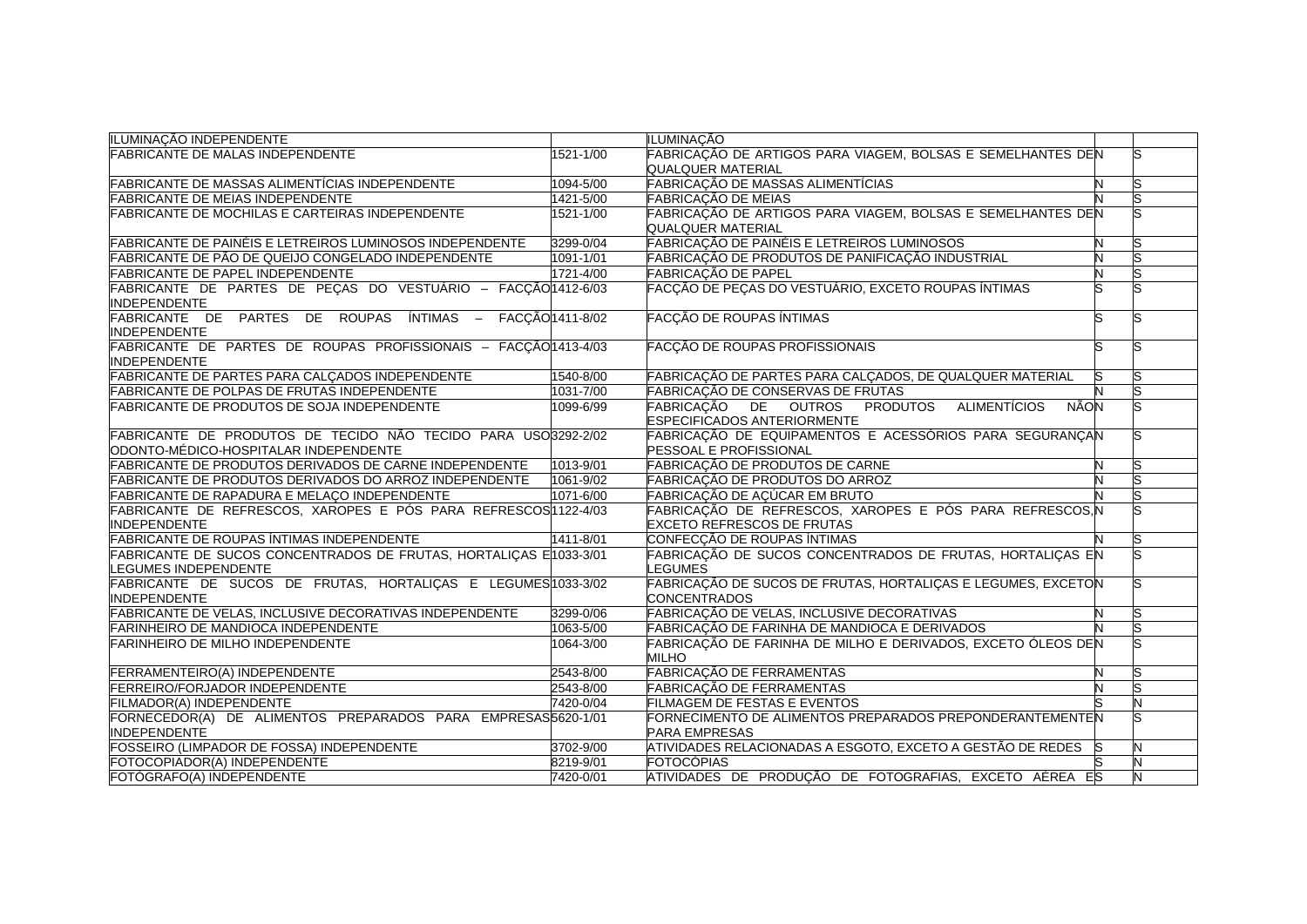| ILUMINAÇÃO INDEPENDENTE                                           |                  | ILUMINACÃO                                                          |   |   |
|-------------------------------------------------------------------|------------------|---------------------------------------------------------------------|---|---|
| <b>FABRICANTE DE MALAS INDEPENDENTE</b>                           | 1521-1/00        | FABRICAÇÃO DE ARTIGOS PARA VIAGEM, BOLSAS E SEMELHANTES DEN         |   |   |
|                                                                   |                  | <b>QUALQUER MATERIAL</b>                                            |   |   |
| <b>FABRICANTE DE MASSAS ALIMENTÍCIAS INDEPENDENTE</b>             | 1094-5/00        | FABRICAÇÃO DE MASSAS ALIMENTÍCIAS                                   |   |   |
| <b>FABRICANTE DE MEIAS INDEPENDENTE</b>                           | 1421-5/00        | <b>FABRICAÇÃO DE MEIAS</b>                                          |   |   |
| <b>FABRICANTE DE MOCHILAS E CARTEIRAS INDEPENDENTE</b>            | 1521-1/00        | FABRICAÇÃO DE ARTIGOS PARA VIAGEM, BOLSAS E SEMELHANTES DEN         |   |   |
|                                                                   |                  | <b>QUALQUER MATERIAL</b>                                            |   |   |
| FABRICANTE DE PAINÉIS E LETREIROS LUMINOSOS INDEPENDENTE          | 3299-0/04        | FABRICAÇÃO DE PAINÉIS E LETREIROS LUMINOSOS                         |   |   |
| FABRICANTE DE PÃO DE QUEIJO CONGELADO INDEPENDENTE                | 1091-1/01        | FABRICAÇÃO DE PRODUTOS DE PANIFICAÇÃO INDUSTRIAL                    |   |   |
| <b>FABRICANTE DE PAPEL INDEPENDENTE</b>                           | 1721-4/00        | <b>FABRICAÇÃO DE PAPEL</b>                                          |   |   |
| FABRICANTE DE PARTES DE PEÇAS DO VESTUÁRIO - FACÇÃO 1412-6/03     |                  | FACÇÃO DE PEÇAS DO VESTUÁRIO, EXCETO ROUPAS ÍNTIMAS                 |   |   |
| <b>INDEPENDENTE</b>                                               |                  |                                                                     |   |   |
| FABRICANTE DE PARTES DE ROUPAS ÍNTIMAS -                          | FACÇÃO 1411-8/02 | <b>FACÇÃO DE ROUPAS ÍNTIMAS</b>                                     |   |   |
| <b>INDEPENDENTE</b>                                               |                  |                                                                     |   |   |
| FABRICANTE DE PARTES DE ROUPAS PROFISSIONAIS - FACÇÃO 1413-4/03   |                  | <b>FACÇÃO DE ROUPAS PROFISSIONAIS</b>                               |   |   |
| <b>INDEPENDENTE</b>                                               |                  |                                                                     |   |   |
| <b>FABRICANTE DE PARTES PARA CALÇADOS INDEPENDENTE</b>            | 1540-8/00        | FABRICAÇÃO DE PARTES PARA CALÇADOS, DE QUALQUER MATERIAL            |   |   |
| <b>FABRICANTE DE POLPAS DE FRUTAS INDEPENDENTE</b>                | 1031-7/00        | <b>FABRICAÇÃO DE CONSERVAS DE FRUTAS</b>                            |   |   |
| FABRICANTE DE PRODUTOS DE SOJA INDEPENDENTE                       | 1099-6/99        | FABRICACÃO DE OUTROS PRODUTOS<br><b>ALIMENTÍCIOS</b><br><b>NÃON</b> |   |   |
|                                                                   |                  | <b>ESPECIFICADOS ANTERIORMENTE</b>                                  |   |   |
| FABRICANTE DE PRODUTOS DE TECIDO NÃO TECIDO PARA USO3292-2/02     |                  | FABRICAÇÃO DE EQUIPAMENTOS E ACESSÓRIOS PARA SEGURANÇAN             |   |   |
| ODONTO-MÉDICO-HOSPITALAR INDEPENDENTE                             |                  | PESSOAL E PROFISSIONAL                                              |   |   |
| FABRICANTE DE PRODUTOS DERIVADOS DE CARNE INDEPENDENTE            | 1013-9/01        | FABRICAÇÃO DE PRODUTOS DE CARNE                                     | N |   |
| <b>FABRICANTE DE PRODUTOS DERIVADOS DO ARROZ INDEPENDENTE</b>     | 1061-9/02        | FABRICAÇÃO DE PRODUTOS DO ARROZ                                     |   |   |
| FABRICANTE DE RAPADURA E MELAÇO INDEPENDENTE                      | 1071-6/00        | FABRICAÇÃO DE AÇÚCAR EM BRUTO                                       |   |   |
| FABRICANTE DE REFRESCOS, XAROPES E PÓS PARA REFRESCOS 122-4/03    |                  | FABRICAÇÃO DE REFRESCOS, XAROPES E PÓS PARA REFRESCOS, N            |   |   |
| <b>INDEPENDENTE</b>                                               |                  | <b>EXCETO REFRESCOS DE FRUTAS</b>                                   |   |   |
| <b>FABRICANTE DE ROUPAS ÍNTIMAS INDEPENDENTE</b>                  | 1411-8/01        | CONFECÇÃO DE ROUPAS ÍNTIMAS                                         |   |   |
| FABRICANTE DE SUCOS CONCENTRADOS DE FRUTAS, HORTALIÇAS E1033-3/01 |                  | FABRICAÇÃO DE SUCOS CONCENTRADOS DE FRUTAS, HORTALICAS EN           |   |   |
| LEGUMES INDEPENDENTE                                              |                  | <b>LEGUMES</b>                                                      |   |   |
| FABRICANTE DE SUCOS DE FRUTAS, HORTALIÇAS E LEGUMES 1033-3/02     |                  | FABRICAÇÃO DE SUCOS DE FRUTAS, HORTALIÇAS E LEGUMES, EXCETON        |   |   |
| <b>INDEPENDENTE</b>                                               |                  | <b>CONCENTRADOS</b>                                                 |   |   |
| FABRICANTE DE VELAS, INCLUSIVE DECORATIVAS INDEPENDENTE           | 3299-0/06        | FABRICAÇÃO DE VELAS, INCLUSIVE DECORATIVAS                          |   |   |
| <b>FARINHEIRO DE MANDIOCA INDEPENDENTE</b>                        | 1063-5/00        | FABRICAÇÃO DE FARINHA DE MANDIOCA E DERIVADOS                       |   |   |
| <b>FARINHEIRO DE MILHO INDEPENDENTE</b>                           | 1064-3/00        | FABRICAÇÃO DE FARINHA DE MILHO E DERIVADOS, EXCETO ÓLEOS DEN        |   |   |
|                                                                   |                  | <b>MILHO</b>                                                        |   |   |
| FERRAMENTEIRO(A) INDEPENDENTE                                     | 2543-8/00        | <b>FABRICAÇÃO DE FERRAMENTAS</b>                                    | N |   |
| FERREIRO/FORJADOR INDEPENDENTE                                    | 2543-8/00        | FABRICAÇÃO DE FERRAMENTAS                                           |   |   |
| FILMADOR(A) INDEPENDENTE                                          | 7420-0/04        | FILMAGEM DE FESTAS E EVENTOS                                        |   |   |
| FORNECEDOR(A) DE ALIMENTOS PREPARADOS PARA EMPRESAS5620-1/01      |                  | FORNECIMENTO DE ALIMENTOS PREPARADOS PREPONDERANTEMENTEN            |   |   |
| <b>INDEPENDENTE</b>                                               |                  | <b>PARA EMPRESAS</b>                                                |   |   |
| <b>FOSSEIRO (LIMPADOR DE FOSSA) INDEPENDENTE</b>                  | 3702-9/00        | ATIVIDADES RELACIONADAS A ESGOTO, EXCETO A GESTÃO DE REDES          |   |   |
| FOTOCOPIADOR(A) INDEPENDENTE                                      | 8219-9/01        | <b>FOTOCÓPIAS</b>                                                   |   |   |
| FOTÓGRAFO(A) INDEPENDENTE                                         | 7420-0/01        | ATIVIDADES DE PRODUÇÃO DE FOTOGRAFIAS, EXCETO AÉREA ES              |   | N |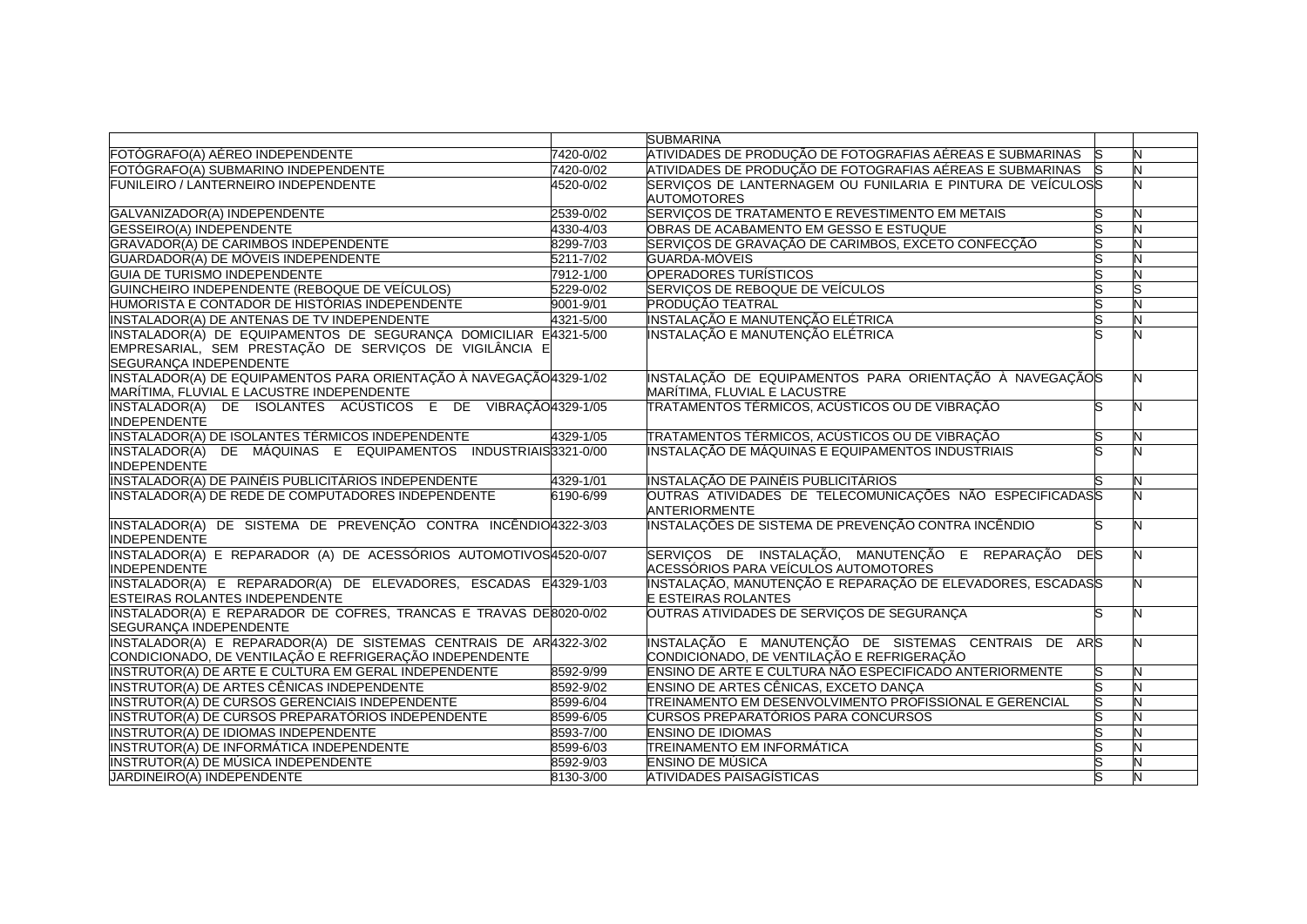|                                                                                                                                                      |           | <b>SUBMARINA</b>                                                                                  |     |   |
|------------------------------------------------------------------------------------------------------------------------------------------------------|-----------|---------------------------------------------------------------------------------------------------|-----|---|
| FOTÓGRAFO(A) AÉREO INDEPENDENTE                                                                                                                      | 7420-0/02 | ATIVIDADES DE PRODUÇÃO DE FOTOGRAFIAS AÉREAS E SUBMARINAS                                         | lS. | N |
| FOTÓGRAFO(A) SUBMARINO INDEPENDENTE                                                                                                                  | 7420-0/02 | ATIVIDADES DE PRODUÇÃO DE FOTOGRAFIAS AÉREAS E SUBMARINAS                                         | lS. | N |
| FUNILEIRO / LANTERNEIRO INDEPENDENTE                                                                                                                 | 4520-0/02 | SERVIÇOS DE LANTERNAGEM OU FUNILARIA E PINTURA DE VEÍCULOSS<br><b>AUTOMOTORES</b>                 |     |   |
| GALVANIZADOR(A) INDEPENDENTE                                                                                                                         | 2539-0/02 | SERVIÇOS DE TRATAMENTO E REVESTIMENTO EM METAIS                                                   |     |   |
| <b>GESSEIRO(A) INDEPENDENTE</b>                                                                                                                      | 4330-4/03 | OBRAS DE ACABAMENTO EM GESSO E ESTUQUE                                                            |     | N |
| GRAVADOR(A) DE CARIMBOS INDEPENDENTE                                                                                                                 | 8299-7/03 | SERVIÇOS DE GRAVAÇÃO DE CARIMBOS, EXCETO CONFECÇÃO                                                |     |   |
| GUARDADOR(A) DE MÓVEIS INDEPENDENTE                                                                                                                  | 5211-7/02 | <b>GUARDA-MÓVEIS</b>                                                                              | S   |   |
| <b>GUIA DE TURISMO INDEPENDENTE</b>                                                                                                                  | 7912-1/00 | <b>OPERADORES TURÍSTICOS</b>                                                                      |     |   |
| GUINCHEIRO INDEPENDENTE (REBOQUE DE VEÍCULOS)                                                                                                        | 5229-0/02 | SERVIÇOS DE REBOQUE DE VEÍCULOS                                                                   | S   |   |
| HUMORISTA E CONTADOR DE HISTÓRIAS INDEPENDENTE                                                                                                       | 9001-9/01 | <b>PRODUÇÃO TEATRAL</b>                                                                           | S   |   |
| <b>INSTALADOR(A) DE ANTENAS DE TV INDEPENDENTE</b>                                                                                                   | 4321-5/00 | INSTALAÇÃO E MANUTENÇÃO ELÉTRICA                                                                  | S   |   |
| INSTALADOR(A) DE EQUIPAMENTOS DE SEGURANCA DOMICILIAR E4321-5/00<br>EMPRESARIAL, SEM PRESTAÇÃO DE SERVIÇOS DE VIGILÂNCIA E<br>SEGURANÇA INDEPENDENTE |           | INSTALAÇÃO E MANUTENÇÃO ELÉTRICA                                                                  |     |   |
| INSTALADOR(A) DE EQUIPAMENTOS PARA ORIENTAÇÃO À NAVEGAÇÃO 4329-1/02<br>MARÍTIMA, FLUVIAL E LACUSTRE INDEPENDENTE                                     |           | INSTALAÇÃO DE EQUIPAMENTOS PARA ORIENTAÇÃO À NAVEGAÇÃOS<br>MARÍTIMA, FLUVIAL E LACUSTRE           |     |   |
| INSTALADOR(A) DE ISOLANTES ACÚSTICOS E DE VIBRAÇÃO 4329-1/05<br><b>INDEPENDENTE</b>                                                                  |           | TRATAMENTOS TÉRMICOS, ACÚSTICOS OU DE VIBRAÇÃO                                                    |     |   |
| INSTALADOR(A) DE ISOLANTES TÉRMICOS INDEPENDENTE                                                                                                     | 4329-1/05 | TRATAMENTOS TÉRMICOS, ACÚSTICOS OU DE VIBRAÇÃO                                                    | S   | Ν |
| INSTALADOR(A) DE MÁQUINAS E EQUIPAMENTOS INDUSTRIAIS3321-0/00<br><b>INDEPENDENTE</b>                                                                 |           | INSTALAÇÃO DE MÁQUINAS E EQUIPAMENTOS INDUSTRIAIS                                                 |     |   |
| INSTALADOR(A) DE PAINÉIS PUBLICITÁRIOS INDEPENDENTE                                                                                                  | 4329-1/01 | INSTALAÇÃO DE PAINÉIS PUBLICITÁRIOS                                                               |     |   |
| INSTALADOR(A) DE REDE DE COMPUTADORES INDEPENDENTE                                                                                                   | 6190-6/99 | OUTRAS ATIVIDADES DE TELECOMUNICAÇÕES NÃO ESPECIFICADASS<br><b>ANTERIORMENTE</b>                  |     |   |
| INSTALADOR(A) DE SISTEMA DE PREVENÇÃO CONTRA INCÊNDIO4322-3/03<br><b>INDEPENDENTE</b>                                                                |           | INSTALAÇÕES DE SISTEMA DE PREVENÇÃO CONTRA INCÊNDIO                                               | S   |   |
| INSTALADOR(A) E REPARADOR (A) DE ACESSÓRIOS AUTOMOTIVOS4520-0/07<br><b>INDEPENDENTE</b>                                                              |           | SERVIÇOS DE INSTALAÇÃO, MANUTENÇÃO E REPARAÇÃO<br>DES<br>ACESSÓRIOS PARA VEÍCULOS AUTOMOTORES     |     |   |
| INSTALADOR(A) E REPARADOR(A) DE ELEVADORES, ESCADAS E4329-1/03<br><b>ESTEIRAS ROLANTES INDEPENDENTE</b>                                              |           | INSTALAÇÃO, MANUTENÇÃO E REPARAÇÃO DE ELEVADORES, ESCADASS<br><b>E ESTEIRAS ROLANTES</b>          |     |   |
| INSTALADOR(A) E REPARADOR DE COFRES, TRANCAS E TRAVAS DE8020-0/02<br><b>SEGURANCA INDEPENDENTE</b>                                                   |           | OUTRAS ATIVIDADES DE SERVIÇOS DE SEGURANÇA                                                        | S   |   |
| INSTALADOR(A) E REPARADOR(A) DE SISTEMAS CENTRAIS DE AR4322-3/02<br>CONDICIONADO, DE VENTILAÇÃO E REFRIGERAÇÃO INDEPENDENTE                          |           | INSTALAÇÃO E MANUTENÇÃO DE SISTEMAS CENTRAIS DE ARS<br>CONDICIONADO, DE VENTILAÇÃO E REFRIGERAÇÃO |     |   |
| INSTRUTOR(A) DE ARTE E CULTURA EM GERAL INDEPENDENTE                                                                                                 | 8592-9/99 | ENSINO DE ARTE E CULTURA NÃO ESPECIFICADO ANTERIORMENTE                                           | ິທ  |   |
| INSTRUTOR(A) DE ARTES CÊNICAS INDEPENDENTE                                                                                                           | 8592-9/02 | ENSINO DE ARTES CÊNICAS, EXCETO DANÇA                                                             |     |   |
| INSTRUTOR(A) DE CURSOS GERENCIAIS INDEPENDENTE                                                                                                       | 8599-6/04 | TREINAMENTO EM DESENVOLVIMENTO PROFISSIONAL E GERENCIAL                                           | S   |   |
| INSTRUTOR(A) DE CURSOS PREPARATÓRIOS INDEPENDENTE                                                                                                    | 8599-6/05 | <b>CURSOS PREPARATÓRIOS PARA CONCURSOS</b>                                                        | S   |   |
| INSTRUTOR(A) DE IDIOMAS INDEPENDENTE                                                                                                                 | 8593-7/00 | <b>ENSINO DE IDIOMAS</b>                                                                          | S   |   |
| INSTRUTOR(A) DE INFORMÁTICA INDEPENDENTE                                                                                                             | 8599-6/03 | TREINAMENTO EM INFORMÁTICA                                                                        |     |   |
| INSTRUTOR(A) DE MÚSICA INDEPENDENTE                                                                                                                  | 8592-9/03 | <b>ENSINO DE MÚSICA</b>                                                                           | S   |   |
| JARDINEIRO(A) INDEPENDENTE                                                                                                                           | 8130-3/00 | <b>ATIVIDADES PAISAGÍSTICAS</b>                                                                   | S   | N |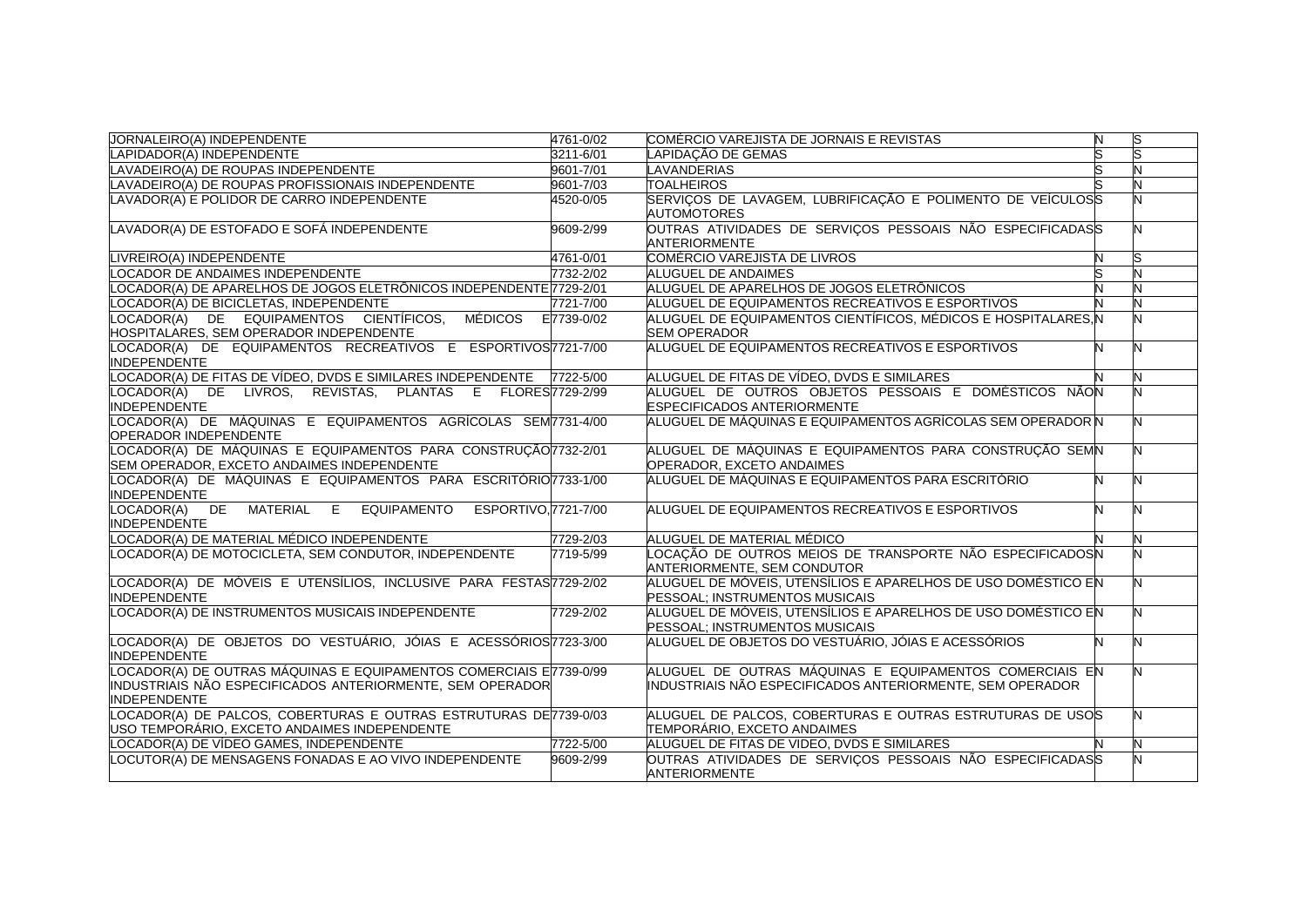| <b>JORNALEIRO(A) INDEPENDENTE</b>                                                                                                                      | 4761-0/02       | COMÉRCIO VAREJISTA DE JORNAIS E REVISTAS                                                                             | N | ls |
|--------------------------------------------------------------------------------------------------------------------------------------------------------|-----------------|----------------------------------------------------------------------------------------------------------------------|---|----|
| LAPIDADOR(A) INDEPENDENTE                                                                                                                              | 3211-6/01       | LAPIDAÇÃO DE GEMAS                                                                                                   |   |    |
| LAVADEIRO(A) DE ROUPAS INDEPENDENTE                                                                                                                    | 9601-7/01       | LAVANDERIAS                                                                                                          |   |    |
| LAVADEIRO(A) DE ROUPAS PROFISSIONAIS INDEPENDENTE                                                                                                      | 9601-7/03       | <b>TOALHEIROS</b>                                                                                                    |   |    |
| LAVADOR(A) E POLIDOR DE CARRO INDEPENDENTE                                                                                                             | 4520-0/05       | SERVIÇOS DE LAVAGEM, LUBRIFICAÇÃO E POLIMENTO DE VEÍCULOSS<br><b>AUTOMOTORES</b>                                     |   |    |
| LAVADOR(A) DE ESTOFADO E SOFÁ INDEPENDENTE                                                                                                             | 9609-2/99       | OUTRAS ATIVIDADES DE SERVIÇOS PESSOAIS NÃO ESPECIFICADASS<br><b>ANTERIORMENTE</b>                                    |   |    |
| LIVREIRO(A) INDEPENDENTE                                                                                                                               | 4761-0/01       | COMÉRCIO VAREJISTA DE LIVROS                                                                                         |   |    |
| LOCADOR DE ANDAIMES INDEPENDENTE                                                                                                                       | 7732-2/02       | <b>ALUGUEL DE ANDAIMES</b>                                                                                           |   |    |
| LOCADOR(A) DE APARELHOS DE JOGOS ELETRÔNICOS INDEPENDENTE 7729-2/01                                                                                    |                 | ALUGUEL DE APARELHOS DE JOGOS ELETRÔNICOS                                                                            |   |    |
| LOCADOR(A) DE BICICLETAS, INDEPENDENTE                                                                                                                 | 7721-7/00       | ALUGUEL DE EQUIPAMENTOS RECREATIVOS E ESPORTIVOS                                                                     |   |    |
| LOCADOR(A) DE EQUIPAMENTOS CIENTÍFICOS.<br>MÉDICOS<br>HOSPITALARES, SEM OPERADOR INDEPENDENTE                                                          | E7739-0/02      | ALUGUEL DE EQUIPAMENTOS CIENTÍFICOS. MÉDICOS E HOSPITALARES.N<br><b>SEM OPERADOR</b>                                 |   |    |
| LOCADOR(A) DE EQUIPAMENTOS RECREATIVOS E ESPORTIVOS 7721-7/00<br><b>INDEPENDENTE</b>                                                                   |                 | ALUGUEL DE EQUIPAMENTOS RECREATIVOS E ESPORTIVOS                                                                     |   |    |
| LOCADOR(A) DE FITAS DE VÍDEO, DVDS E SIMILARES INDEPENDENTE                                                                                            | 7722-5/00       | ALUGUEL DE FITAS DE VÍDEO, DVDS E SIMILARES                                                                          |   |    |
| LOCADOR(A) DE LIVROS, REVISTAS,<br>PLANTAS E<br><b>INDEPENDENTE</b>                                                                                    | FLORES7729-2/99 | ALUGUEL DE OUTROS OBJETOS PESSOAIS E DOMÉSTICOS NÃON<br><b>ESPECIFICADOS ANTERIORMENTE</b>                           |   |    |
| LOCADOR(A) DE MÁQUINAS E EQUIPAMENTOS AGRÍCOLAS SEM7731-4/00<br>OPERADOR INDEPENDENTE                                                                  |                 | ALUGUEL DE MÁQUINAS E EQUIPAMENTOS AGRÍCOLAS SEM OPERADOR N                                                          |   |    |
| LOCADOR(A) DE MÁQUINAS E EQUIPAMENTOS PARA CONSTRUÇÃO 732-2/01<br>SEM OPERADOR, EXCETO ANDAIMES INDEPENDENTE                                           |                 | ALUGUEL DE MÁQUINAS E EQUIPAMENTOS PARA CONSTRUÇÃO SEMN<br>OPERADOR, EXCETO ANDAIMES                                 |   |    |
| LOCADOR(A) DE MÁQUINAS E EQUIPAMENTOS PARA ESCRITÓRIO7733-1/00<br><b>INDEPENDENTE</b>                                                                  |                 | ALUGUEL DE MÁQUINAS E EQUIPAMENTOS PARA ESCRITÓRIO                                                                   | N | N  |
| LOCADOR(A) DE<br><b>MATERIAL</b><br>E<br>EQUIPAMENTO ESPORTIVO, 7721-7/00<br><b>INDEPENDENTE</b>                                                       |                 | ALUGUEL DE EQUIPAMENTOS RECREATIVOS E ESPORTIVOS                                                                     |   |    |
| LOCADOR(A) DE MATERIAL MÉDICO INDEPENDENTE                                                                                                             | 7729-2/03       | ALUGUEL DE MATERIAL MÉDICO                                                                                           |   |    |
| LOCADOR(A) DE MOTOCICLETA, SEM CONDUTOR, INDEPENDENTE                                                                                                  | 7719-5/99       | LOCAÇÃO DE OUTROS MEIOS DE TRANSPORTE NÃO ESPECIFICADOSIN<br><b>ANTERIORMENTE, SEM CONDUTOR</b>                      |   |    |
| LOCADOR(A) DE MÓVEIS E UTENSÍLIOS. INCLUSIVE PARA FESTAS/7729-2/02<br><b>INDEPENDENTE</b>                                                              |                 | ALUGUEL DE MÓVEIS, UTENSÍLIOS E APARELHOS DE USO DOMÉSTICO EN<br>PESSOAL; INSTRUMENTOS MUSICAIS                      |   |    |
| LOCADOR(A) DE INSTRUMENTOS MUSICAIS INDEPENDENTE                                                                                                       | 7729-2/02       | ALUGUEL DE MÓVEIS, UTENSÍLIOS E APARELHOS DE USO DOMÉSTICO EN<br>PESSOAL; INSTRUMENTOS MUSICAIS                      |   |    |
| LOCADOR(A) DE OBJETOS DO VESTUÁRIO, JÓIAS E ACESSÓRIOS 723-3/00<br><b>INDEPENDENTE</b>                                                                 |                 | ALUGUEL DE OBJETOS DO VESTUÁRIO, JÓIAS E ACESSÓRIOS                                                                  |   | N  |
| LOCADOR(A) DE OUTRAS MÁQUINAS E EQUIPAMENTOS COMERCIAIS E7739-0/99<br>INDUSTRIAIS NÃO ESPECIFICADOS ANTERIORMENTE, SEM OPERADOR<br><b>INDEPENDENTE</b> |                 | ALUGUEL DE OUTRAS MÁQUINAS E EQUIPAMENTOS COMERCIAIS EN<br>INDUSTRIAIS NÃO ESPECIFICADOS ANTERIORMENTE, SEM OPERADOR |   | N  |
| LOCADOR(A) DE PALCOS, COBERTURAS E OUTRAS ESTRUTURAS DE7739-0/03<br>USO TEMPORÁRIO, EXCETO ANDAIMES INDEPENDENTE                                       |                 | ALUGUEL DE PALCOS, COBERTURAS E OUTRAS ESTRUTURAS DE USOS<br>TEMPORÁRIO, EXCETO ANDAIMES                             |   |    |
| LOCADOR(A) DE VÍDEO GAMES, INDEPENDENTE                                                                                                                | 7722-5/00       | ALUGUEL DE FITAS DE VIDEO, DVDS E SIMILARES                                                                          |   | N  |
| LOCUTOR(A) DE MENSAGENS FONADAS E AO VIVO INDEPENDENTE                                                                                                 | 9609-2/99       | OUTRAS ATIVIDADES DE SERVIÇOS PESSOAIS NÃO ESPECIFICADASS<br><b>ANTERIORMENTE</b>                                    |   |    |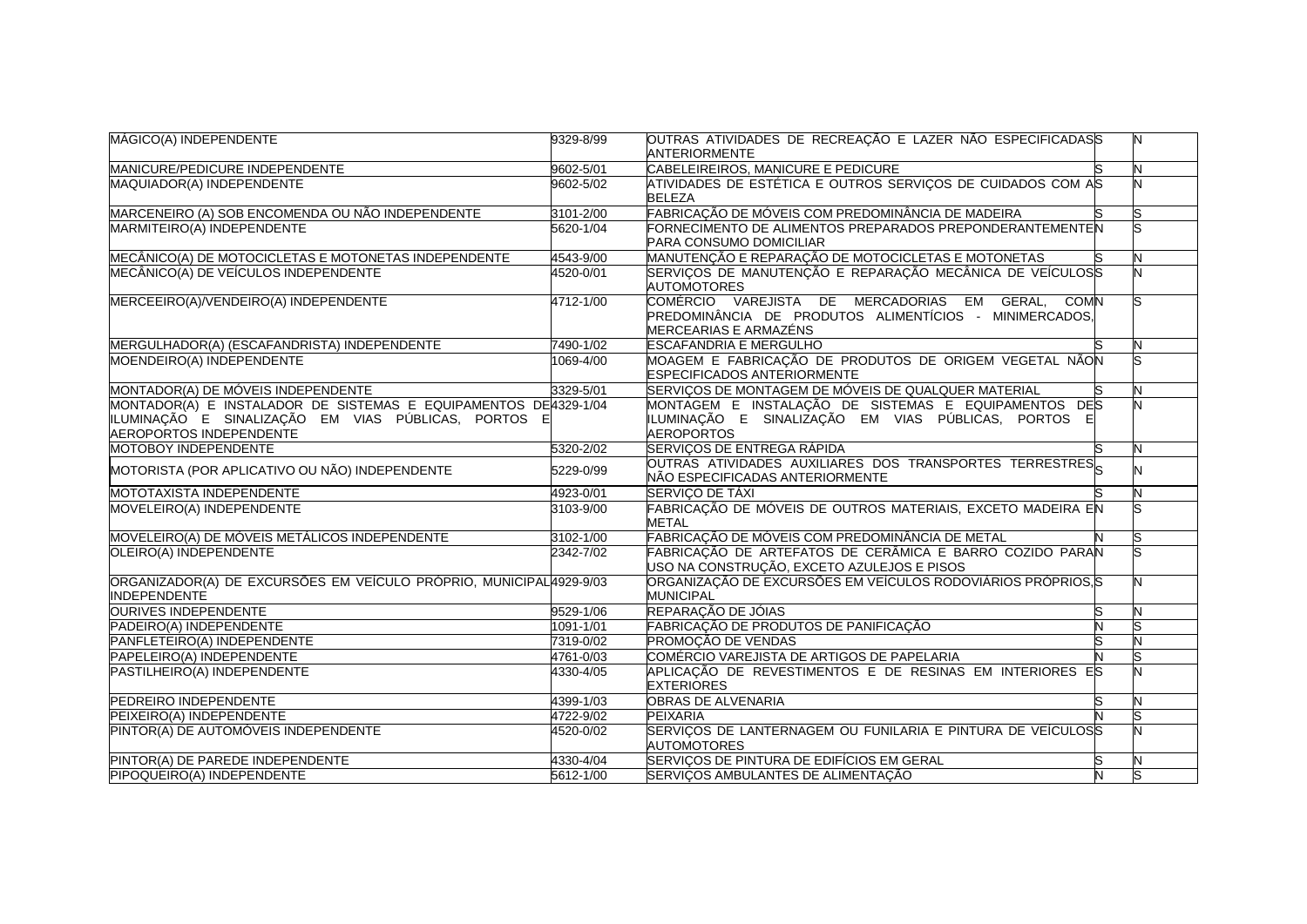| MÁGICO(A) INDEPENDENTE                                                                                                                            | 9329-8/99 | OUTRAS ATIVIDADES DE RECREAÇÃO E LAZER NÃO ESPECIFICADASS<br><b>ANTERIORMENTE</b>                                                             |   |
|---------------------------------------------------------------------------------------------------------------------------------------------------|-----------|-----------------------------------------------------------------------------------------------------------------------------------------------|---|
| MANICURE/PEDICURE INDEPENDENTE                                                                                                                    | 9602-5/01 | CABELEIREIROS, MANICURE E PEDICURE                                                                                                            |   |
| MAQUIADOR(A) INDEPENDENTE                                                                                                                         | 9602-5/02 | ATIVIDADES DE ESTÉTICA E OUTROS SERVIÇOS DE CUIDADOS COM AS<br><b>BELEZA</b>                                                                  |   |
| MARCENEIRO (A) SOB ENCOMENDA OU NÃO INDEPENDENTE                                                                                                  | 3101-2/00 | FABRICAÇÃO DE MÓVEIS COM PREDOMINÂNCIA DE MADEIRA                                                                                             |   |
| MARMITEIRO(A) INDEPENDENTE                                                                                                                        | 5620-1/04 | FORNECIMENTO DE ALIMENTOS PREPARADOS PREPONDERANTEMENTEN<br><b>PARA CONSUMO DOMICILIAR</b>                                                    |   |
| MECÂNICO(A) DE MOTOCICLETAS E MOTONETAS INDEPENDENTE                                                                                              | 4543-9/00 | MANUTENÇÃO E REPARAÇÃO DE MOTOCICLETAS E MOTONETAS                                                                                            |   |
| MECÂNICO(A) DE VEÍCULOS INDEPENDENTE                                                                                                              | 4520-0/01 | SERVIÇOS DE MANUTENÇÃO E REPARAÇÃO MECÂNICA DE VEÍCULOSS<br><b>AUTOMOTORES</b>                                                                |   |
| MERCEEIRO(A)/VENDEIRO(A) INDEPENDENTE                                                                                                             | 4712-1/00 | COMÉRCIO VAREJISTA DE MERCADORIAS EM GERAL,<br><b>COMN</b><br>PREDOMINÂNCIA DE PRODUTOS ALIMENTÍCIOS - MINIMERCADOS,<br>MERCEARIAS E ARMAZÉNS |   |
| MERGULHADOR(A) (ESCAFANDRISTA) INDEPENDENTE                                                                                                       | 7490-1/02 | <b>ESCAFANDRIA E MERGULHO</b>                                                                                                                 | N |
| MOENDEIRO(A) INDEPENDENTE                                                                                                                         | 1069-4/00 | MOAGEM E FABRICAÇÃO DE PRODUTOS DE ORIGEM VEGETAL NÃON<br><b>ESPECIFICADOS ANTERIORMENTE</b>                                                  |   |
| MONTADOR(A) DE MÓVEIS INDEPENDENTE                                                                                                                | 3329-5/01 | SERVIÇOS DE MONTAGEM DE MÓVEIS DE QUALQUER MATERIAL                                                                                           |   |
| MONTADOR(A) E INSTALADOR DE SISTEMAS E EQUIPAMENTOS DE4329-1/04<br>ILUMINAÇÃO E SINALIZAÇÃO EM VIAS PÚBLICAS, PORTOS E<br>AEROPORTOS INDEPENDENTE |           | MONTAGEM E INSTALAÇÃO DE SISTEMAS E EQUIPAMENTOS DES<br>ILUMINAÇÃO E SINALIZAÇÃO EM VIAS PÚBLICAS, PORTOS E<br><b>AEROPORTOS</b>              |   |
| <b>MOTOBOY INDEPENDENTE</b>                                                                                                                       | 5320-2/02 | SERVIÇOS DE ENTREGA RÁPIDA                                                                                                                    | N |
| MOTORISTA (POR APLICATIVO OU NÃO) INDEPENDENTE                                                                                                    | 5229-0/99 | OUTRAS ATIVIDADES AUXILIARES DOS TRANSPORTES TERRESTRES<br>NÃO ESPECIFICADAS ANTERIORMENTE                                                    |   |
| MOTOTAXISTA INDEPENDENTE                                                                                                                          | 4923-0/01 | SERVIÇO DE TÁXI                                                                                                                               |   |
| MOVELEIRO(A) INDEPENDENTE                                                                                                                         | 3103-9/00 | FABRICAÇÃO DE MÓVEIS DE OUTROS MATERIAIS, EXCETO MADEIRA EN<br><b>METAL</b>                                                                   |   |
| MOVELEIRO(A) DE MÓVEIS METÁLICOS INDEPENDENTE                                                                                                     | 3102-1/00 | FABRICAÇÃO DE MÓVEIS COM PREDOMINÂNCIA DE METAL                                                                                               |   |
| OLEIRO(A) INDEPENDENTE                                                                                                                            | 2342-7/02 | FABRICAÇÃO DE ARTEFATOS DE CERÂMICA E BARRO COZIDO PARAN<br>USO NA CONSTRUÇÃO, EXCETO AZULEJOS E PISOS                                        |   |
| ORGANIZADOR(A) DE EXCURSÕES EM VEÍCULO PRÓPRIO, MUNICIPAL4929-9/03<br><b>INDEPENDENTE</b>                                                         |           | ORGANIZAÇÃO DE EXCURSÕES EM VEÍCULOS RODOVIÁRIOS PRÓPRIOS, S<br><b>MUNICIPAL</b>                                                              |   |
| <b>OURIVES INDEPENDENTE</b>                                                                                                                       | 9529-1/06 | REPARAÇÃO DE JÓIAS                                                                                                                            |   |
| PADEIRO(A) INDEPENDENTE                                                                                                                           | 1091-1/01 | FABRICAÇÃO DE PRODUTOS DE PANIFICAÇÃO                                                                                                         |   |
| PANFLETEIRO(A) INDEPENDENTE                                                                                                                       | 7319-0/02 | <b>PROMOÇÃO DE VENDAS</b>                                                                                                                     |   |
| PAPELEIRO(A) INDEPENDENTE                                                                                                                         | 4761-0/03 | COMÉRCIO VAREJISTA DE ARTIGOS DE PAPELARIA                                                                                                    |   |
| PASTILHEIRO(A) INDEPENDENTE                                                                                                                       | 4330-4/05 | APLICAÇÃO DE REVESTIMENTOS E DE RESINAS EM INTERIORES ES<br><b>EXTERIORES</b>                                                                 |   |
| PEDREIRO INDEPENDENTE                                                                                                                             | 4399-1/03 | <b>OBRAS DE ALVENARIA</b>                                                                                                                     |   |
| PEIXEIRO(A) INDEPENDENTE                                                                                                                          | 4722-9/02 | <b>PEIXARIA</b>                                                                                                                               |   |
| PINTOR(A) DE AUTOMÓVEIS INDEPENDENTE                                                                                                              | 4520-0/02 | SERVIÇOS DE LANTERNAGEM OU FUNILARIA E PINTURA DE VEÍCULOSS<br><b>AUTOMOTORES</b>                                                             |   |
| PINTOR(A) DE PAREDE INDEPENDENTE                                                                                                                  | 4330-4/04 | SERVIÇOS DE PINTURA DE EDIFÍCIOS EM GERAL                                                                                                     |   |
| PIPOQUEIRO(A) INDEPENDENTE                                                                                                                        | 5612-1/00 | SERVIÇOS AMBULANTES DE ALIMENTAÇÃO                                                                                                            |   |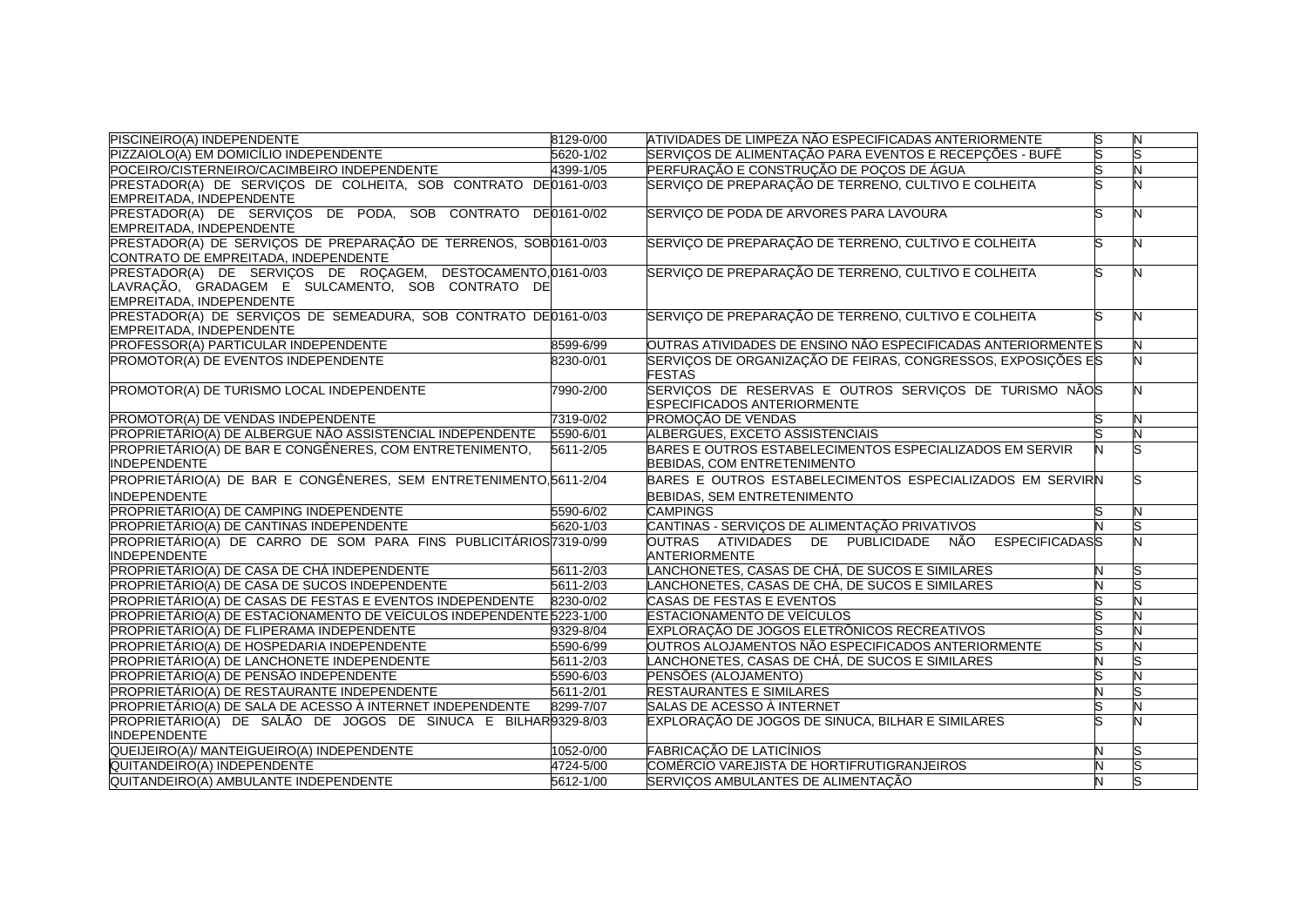| PISCINEIRO(A) INDEPENDENTE                                           | 8129-0/00 | ATIVIDADES DE LIMPEZA NÃO ESPECIFICADAS ANTERIORMENTE                         | s | N |
|----------------------------------------------------------------------|-----------|-------------------------------------------------------------------------------|---|---|
| PIZZAIOLO(A) EM DOMICÍLIO INDEPENDENTE                               | 5620-1/02 | SERVICOS DE ALIMENTACÃO PARA EVENTOS E RECEPCÕES - BUFÊ                       |   |   |
| POCEIRO/CISTERNEIRO/CACIMBEIRO INDEPENDENTE                          | 4399-1/05 | IPERFURACÃO E CONSTRUCÃO DE POCOS DE ÁGUA                                     |   |   |
| PRESTADOR(A) DE SERVIÇOS DE COLHEITA, SOB CONTRATO DE0161-0/03       |           | SERVIÇO DE PREPARAÇÃO DE TERRENO, CULTIVO E COLHEITA                          |   |   |
| EMPREITADA, INDEPENDENTE                                             |           |                                                                               |   |   |
| PRESTADOR(A) DE SERVIÇOS DE PODA, SOB CONTRATO DE0161-0/02           |           | SERVIÇO DE PODA DE ARVORES PARA LAVOURA                                       |   |   |
| EMPREITADA, INDEPENDENTÉ                                             |           |                                                                               |   |   |
| PRESTADOR(A) DE SERVIÇOS DE PREPARAÇÃO DE TERRENOS, SOB0161-0/03     |           | SERVIÇO DE PREPARAÇÃO DE TERRENO, CULTIVO E COLHEITA                          |   |   |
| CONTRATO DE EMPREITADA, INDEPENDENTE                                 |           |                                                                               |   |   |
| PRESTADOR(A) DE SERVIÇOS DE ROÇAGEM, DESTOCAMENTO, 0161-0/03         |           | SERVIÇO DE PREPARAÇÃO DE TERRENO, CULTIVO E COLHEITA                          |   |   |
| LAVRAÇÃO, GRADAGEM E SULCAMENTO, SOB CONTRATO DE                     |           |                                                                               |   |   |
| EMPREITADA, INDEPENDENTE                                             |           |                                                                               |   |   |
| PRESTADOR(A) DE SERVIÇOS DE SEMEADURA, SOB CONTRATO DE0161-0/03      |           | SERVIÇO DE PREPARAÇÃO DE TERRENO, CULTIVO E COLHEITA                          |   |   |
| EMPREITADA, INDEPENDENTE                                             |           |                                                                               |   |   |
| PROFESSOR(A) PARTICULAR INDEPENDENTE                                 | 8599-6/99 | OUTRAS ATIVIDADES DE ENSINO NÃO ESPECIFICADAS ANTERIORMENTEIS                 |   |   |
| PROMOTOR(A) DE EVENTOS INDEPENDENTE                                  | 8230-0/01 | SERVIÇOS DE ORGANIZAÇÃO DE FEIRAS, CONGRESSOS, EXPOSIÇÕES ES<br><b>FESTAS</b> |   |   |
| PROMOTOR(A) DE TURISMO LOCAL INDEPENDENTE                            | 7990-2/00 | SERVIÇOS DE RESERVAS E OUTROS SERVIÇOS DE TURISMO NÃOS                        |   |   |
|                                                                      |           | <b>ESPECIFICADOS ANTERIORMENTE</b>                                            |   |   |
| PROMOTOR(A) DE VENDAS INDEPENDENTE                                   | 7319-0/02 | PROMOÇÃO DE VENDAS                                                            |   |   |
| PROPRIETÁRIO(A) DE ALBERGUE NÃO ASSISTENCIAL INDEPENDENTE 5590-6/01  |           | ALBERGUES, EXCETO ASSISTENCIAIS                                               |   | N |
| PROPRIETÁRIO(A) DE BAR E CONGÊNERES, COM ENTRETENIMENTO,             | 5611-2/05 | BARES E OUTROS ESTABELECIMENTOS ESPECIALIZADOS EM SERVIR                      |   |   |
| <b>INDEPENDENTE</b>                                                  |           | BEBIDAS, COM ENTRETENIMENTO                                                   |   |   |
| PROPRIETÁRIO(A) DE BAR E CONGÊNERES, SEM ENTRETENIMENTO, 6611-2/04   |           | BARES E OUTROS ESTABELECIMENTOS ESPECIALIZADOS EM SERVIRN                     |   |   |
| <b>INDEPENDENTE</b>                                                  |           | <b>BEBIDAS, SEM ENTRETENIMENTO</b>                                            |   |   |
| PROPRIETÁRIO(A) DE CAMPING INDEPENDENTE                              | 5590-6/02 | <b>CAMPINGS</b>                                                               |   |   |
| PROPRIETÁRIO(A) DE CANTINAS INDEPENDENTE                             | 5620-1/03 | CANTINAS - SERVICOS DE ALIMENTAÇÃO PRIVATIVOS                                 |   |   |
| PROPRIETÁRIO(A) DE CARRO DE SOM PARA FINS PUBLICITÁRIOS 7319-0/99    |           | <b>ESPECIFICADASS</b><br>OUTRAS ATIVIDADES DE PUBLICIDADE NÃO                 |   |   |
| <b>INDEPENDENTE</b>                                                  |           | <b>ANTERIORMENTE</b>                                                          |   |   |
| PROPRIETÁRIO(A) DE CASA DE CHÁ INDEPENDENTE                          | 5611-2/03 | LANCHONETES, CASAS DE CHÁ, DE SUCOS E SIMILARES                               | N |   |
| PROPRIETÁRIO(A) DE CASA DE SUCOS INDEPENDENTE                        | 5611-2/03 | LANCHONETES, CASAS DE CHÁ, DE SUCOS E SIMILARES                               |   |   |
| PROPRIETÁRIO(A) DE CASAS DE FESTAS E EVENTOS INDEPENDENTE            | 8230-0/02 | CASAS DE FESTAS E EVENTOS                                                     |   |   |
| PROPRIETÁRIO(A) DE ESTACIONAMENTO DE VEÍCULOS INDEPENDENTE 5223-1/00 |           | <b>ESTACIONAMENTO DE VEÍCULOS</b>                                             |   |   |
| PROPRIETÁRIO(A) DE FLIPERAMA INDEPENDENTE                            | 9329-8/04 | EXPLORAÇÃO DE JOGOS ELETRÔNICOS RECREATIVOS                                   |   |   |
| PROPRIETÁRIO(A) DE HOSPEDARIA INDEPENDENTE                           | 5590-6/99 | OUTROS ALOJAMENTOS NÃO ESPECIFICADOS ANTERIORMENTE                            |   |   |
| PROPRIETÁRIO(A) DE LANCHONETE INDEPENDENTE                           | 5611-2/03 | LANCHONETES, CASAS DE CHÁ, DE SUCOS E SIMILARES                               |   |   |
| PROPRIETÁRIO(A) DE PENSÃO INDEPENDENTE                               | 5590-6/03 | PENSÕES (ALOJAMENTO)                                                          |   |   |
| PROPRIETÁRIO(A) DE RESTAURANTE INDEPENDENTE                          | 5611-2/01 | <b>RESTAURANTES E SIMILARES</b>                                               |   |   |
| PROPRIETÁRIO(A) DE SALA DE ACESSO À INTERNET INDEPENDENTE            | 8299-7/07 | SALAS DE ACESSO À INTERNET                                                    |   |   |
| PROPRIETÁRIO(A) DE SALÃO DE JOGOS DE SINUCA E BILHAR0329-8/03        |           | EXPLORAÇÃO DE JOGOS DE SINUCA, BILHAR E SIMILARES                             |   |   |
| <b>INDEPENDENTE</b>                                                  |           |                                                                               |   |   |
| QUEIJEIRO(A)/ MANTEIGUEIRO(A) INDEPENDENTE                           | 1052-0/00 | FABRICACÃO DE LATICÍNIOS                                                      |   |   |
| QUITANDEIRO(A) INDEPENDENTE                                          | 4724-5/00 | COMÉRCIO VAREJISTA DE HORTIFRUTIGRANJEIROS                                    |   |   |
| QUITANDEIRO(A) AMBULANTE INDEPENDENTE                                | 5612-1/00 | SERVICOS AMBULANTES DE ALIMENTAÇÃO                                            |   |   |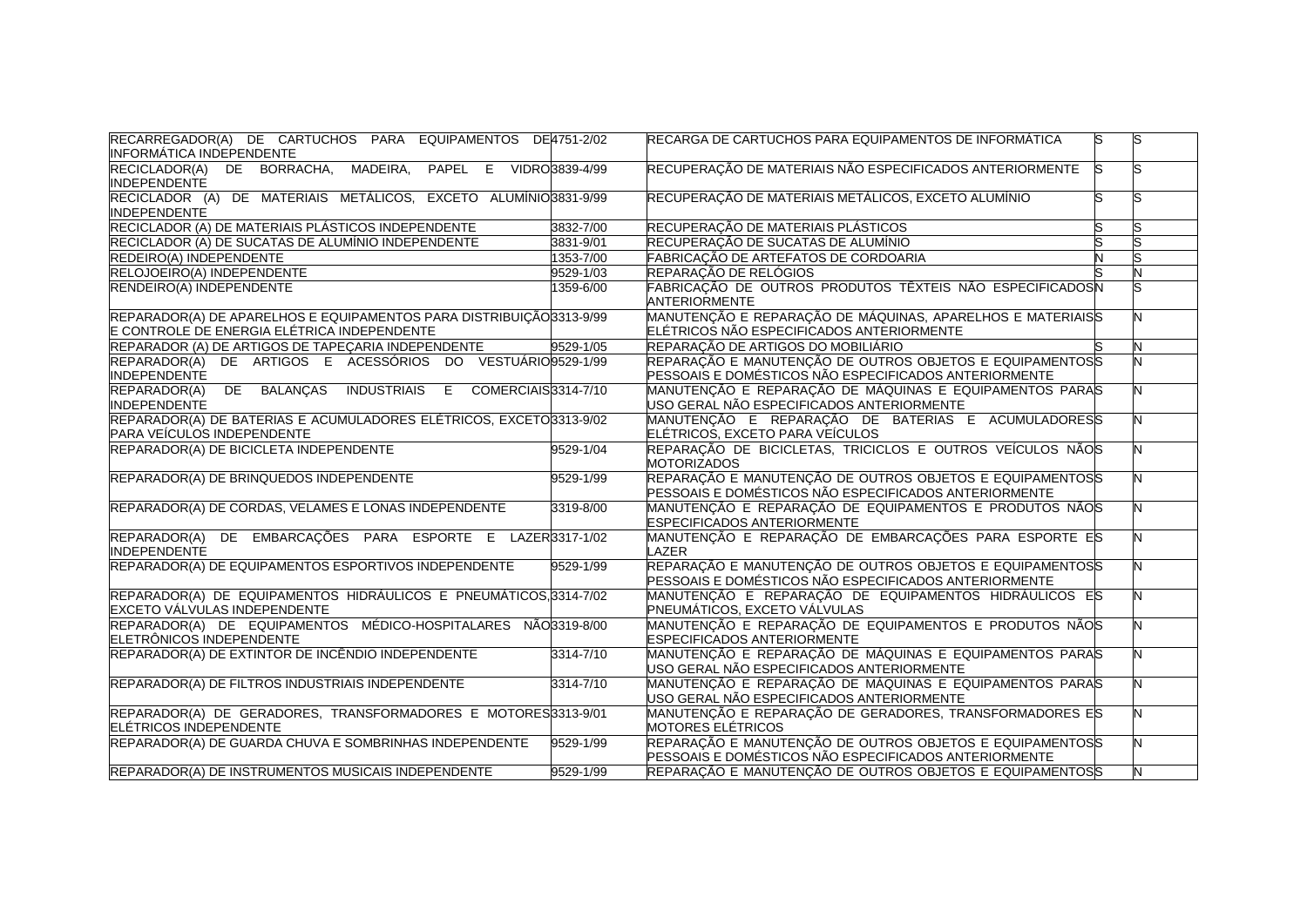| RECARREGADOR(A) DE CARTUCHOS PARA EQUIPAMENTOS DE4751-2/02<br><b>INFORMÁTICA INDEPENDENTE</b>                      |                | RECARGA DE CARTUCHOS PARA EQUIPAMENTOS DE INFORMÁTICA                                                             | lS.<br>S |  |
|--------------------------------------------------------------------------------------------------------------------|----------------|-------------------------------------------------------------------------------------------------------------------|----------|--|
| RECICLADOR(A) DE BORRACHA,<br>MADEIRA,<br>PAPEL E<br><b>INDEPENDENTE</b>                                           | VIDRO3839-4/99 | RECUPERAÇÃO DE MATERIAIS NÃO ESPECIFICADOS ANTERIORMENTE                                                          | ls       |  |
| RECICLADOR (A) DE MATERIAIS METÁLICOS, EXCETO ALUMÍNIO3831-9/99<br><b>INDEPENDENTE</b>                             |                | RECUPERAÇÃO DE MATERIAIS METÁLICOS, EXCETO ALUMÍNIO                                                               | S        |  |
| RECICLADOR (A) DE MATERIAIS PLÁSTICOS INDEPENDENTE                                                                 | 3832-7/00      | RECUPERAÇÃO DE MATERIAIS PLÁSTICOS                                                                                | S        |  |
| RECICLADOR (A) DE SUCATAS DE ALUMÍNIO INDEPENDENTE                                                                 | 3831-9/01      | RECUPERAÇÃO DE SUCATAS DE ALUMÍNIO                                                                                | S        |  |
| REDEIRO(A) INDEPENDENTE                                                                                            | 1353-7/00      | FABRICAÇÃO DE ARTEFATOS DE CORDOARIA                                                                              |          |  |
| RELOJOEIRO(A) INDEPENDENTE                                                                                         | 9529-1/03      | REPARAÇÃO DE RELÓGIOS                                                                                             |          |  |
| RENDEIRO(A) INDEPENDENTE                                                                                           | 1359-6/00      | FABRICAÇÃO DE OUTROS PRODUTOS TÊXTEIS NÃO ESPECIFICADOSN<br><b>ANTERIORMENTE</b>                                  |          |  |
| REPARADOR(A) DE APARELHOS E EQUIPAMENTOS PARA DISTRIBUIÇÃO 313-9/99<br>E CONTROLE DE ENERGIA ELÉTRICA INDEPENDENTE |                | MANUTENÇÃO E REPARAÇÃO DE MÁQUINAS, APARELHOS E MATERIAISS<br>ELÉTRICOS NÃO ESPECIFICADOS ANTERIORMENTE           |          |  |
| REPARADOR (A) DE ARTIGOS DE TAPEÇARIA INDEPENDENTE                                                                 | $9529 - 1/05$  | REPARAÇÃO DE ARTIGOS DO MOBILIÁRIO                                                                                | N        |  |
| REPARADOR(A) DE ARTIGOS E ACESSÓRIOS DO VESTUÁRIO 9529-1/99<br><b>INDEPENDENTE</b>                                 |                | REPARAÇÃO E MANUTENÇÃO DE OUTROS OBJETOS E EQUIPAMENTOSS<br>PESSOAIS E DOMÉSTICOS NÃO ESPECIFICADOS ANTERIORMENTE |          |  |
| <b>BALANÇAS</b><br>REPARADOR(A)<br>DE<br><b>INDUSTRIAIS</b><br>COMERCIAIS3314-7/10<br>E<br><b>INDEPENDENTE</b>     |                | MANUTENÇÃO E REPARAÇÃO DE MÁQUINAS E EQUIPAMENTOS PARAS<br>USO GERAL NÃO ESPECIFICADOS ANTERIORMENTE              |          |  |
| REPARADOR(A) DE BATERIAS E ACUMULADORES ELÉTRICOS, EXCETO3313-9/02<br>PARA VEÍCULOS INDEPENDENTE                   |                | MANUTENÇÃO E REPARAÇÃO DE BATERIAS E ACUMULADORESS<br>ELÉTRICOS, EXCETO PARA VEÍCULOS                             |          |  |
| REPARADOR(A) DE BICICLETA INDEPENDENTE                                                                             | 9529-1/04      | REPARAÇÃO DE BICICLETAS, TRICICLOS E OUTROS VEÍCULOS NÃOS<br><b>MOTORIZADOS</b>                                   |          |  |
| REPARADOR(A) DE BRINQUEDOS INDEPENDENTE                                                                            | 9529-1/99      | REPARAÇÃO E MANUTENÇÃO DE OUTROS OBJETOS E EQUIPAMENTOSS<br>PESSOAIS E DOMÉSTICOS NÃO ESPECIFICADOS ANTERIORMENTE |          |  |
| REPARADOR(A) DE CORDAS, VELAMES E LONAS INDEPENDENTE                                                               | 3319-8/00      | MANUTENÇÃO E REPARAÇÃO DE EQUIPAMENTOS E PRODUTOS NÃOS<br><b>ESPECIFICADOS ANTERIORMENTE</b>                      |          |  |
| REPARADOR(A)<br>DE EMBARCAÇÕES PARA ESPORTE E LAZER3317-1/02<br><b>INDEPENDENTE</b>                                |                | MANUTENÇÃO E REPARAÇÃO DE EMBARCAÇÕES PARA ESPORTE ES<br>LAZER                                                    |          |  |
| REPARADOR(A) DE EQUIPAMENTOS ESPORTIVOS INDEPENDENTE                                                               | 9529-1/99      | REPARAÇÃO E MANUTENÇÃO DE OUTROS OBJETOS E EQUIPAMENTOSS<br>PESSOAIS E DOMÉSTICOS NÃO ESPECIFICADOS ANTERIORMENTE |          |  |
| REPARADOR(A) DE EQUIPAMENTOS HIDRÁULICOS E PNEUMÁTICOS, 3314-7/02<br>EXCETO VÁLVULAS INDEPENDENTE                  |                | MANUTENÇÃO E REPARAÇÃO DE EQUIPAMENTOS HIDRÁULICOS ES<br>PNEUMÁTICOS, EXCETO VÁLVULAS                             |          |  |
| REPARADOR(A) DE EQUIPAMENTOS MÉDICO-HOSPITALARES NÃO3319-8/00<br>ELETRÔNICOS INDEPENDENTE                          |                | MANUTENÇÃO E REPARAÇÃO DE EQUIPAMENTOS E PRODUTOS NÃOS<br>ESPECIFICADOS ANTERIORMENTE                             |          |  |
| REPARADOR(A) DE EXTINTOR DE INCÊNDIO INDEPENDENTE                                                                  | 3314-7/10      | MANUTENÇÃO E REPARAÇÃO DE MÁQUINAS E EQUIPAMENTOS PARAS<br>USO GERAL NÃO ESPECIFICADOS ANTERIORMENTE              |          |  |
| REPARADOR(A) DE FILTROS INDUSTRIAIS INDEPENDENTE                                                                   | 3314-7/10      | MANUTENÇÃO E REPARAÇÃO DE MÁQUINAS E EQUIPAMENTOS PARAS<br>USO GERAL NÃO ESPECIFICADOS ANTERIORMENTE              |          |  |
| REPARADOR(A) DE GERADORES, TRANSFORMADORES E MOTORES 3313-9/01                                                     |                | MANUTENÇÃO E REPARAÇÃO DE GERADORES, TRANSFORMADORES ES                                                           |          |  |
| ELÉTRICOS INDEPENDENTE                                                                                             |                | MOTORES ELÉTRICOS                                                                                                 |          |  |
| REPARADOR(A) DE GUARDA CHUVA E SOMBRINHAS INDEPENDENTE                                                             | 9529-1/99      | REPARAÇÃO E MANUTENÇÃO DE OUTROS OBJETOS E EQUIPAMENTOSS<br>PESSOAIS E DOMÉSTICOS NÃO ESPECIFICADOS ANTERIORMENTE |          |  |
| REPARADOR(A) DE INSTRUMENTOS MUSICAIS INDEPENDENTE                                                                 | 9529-1/99      | REPARAÇÃO E MANUTENÇÃO DE OUTROS OBJETOS E EQUIPAMENTOSS                                                          |          |  |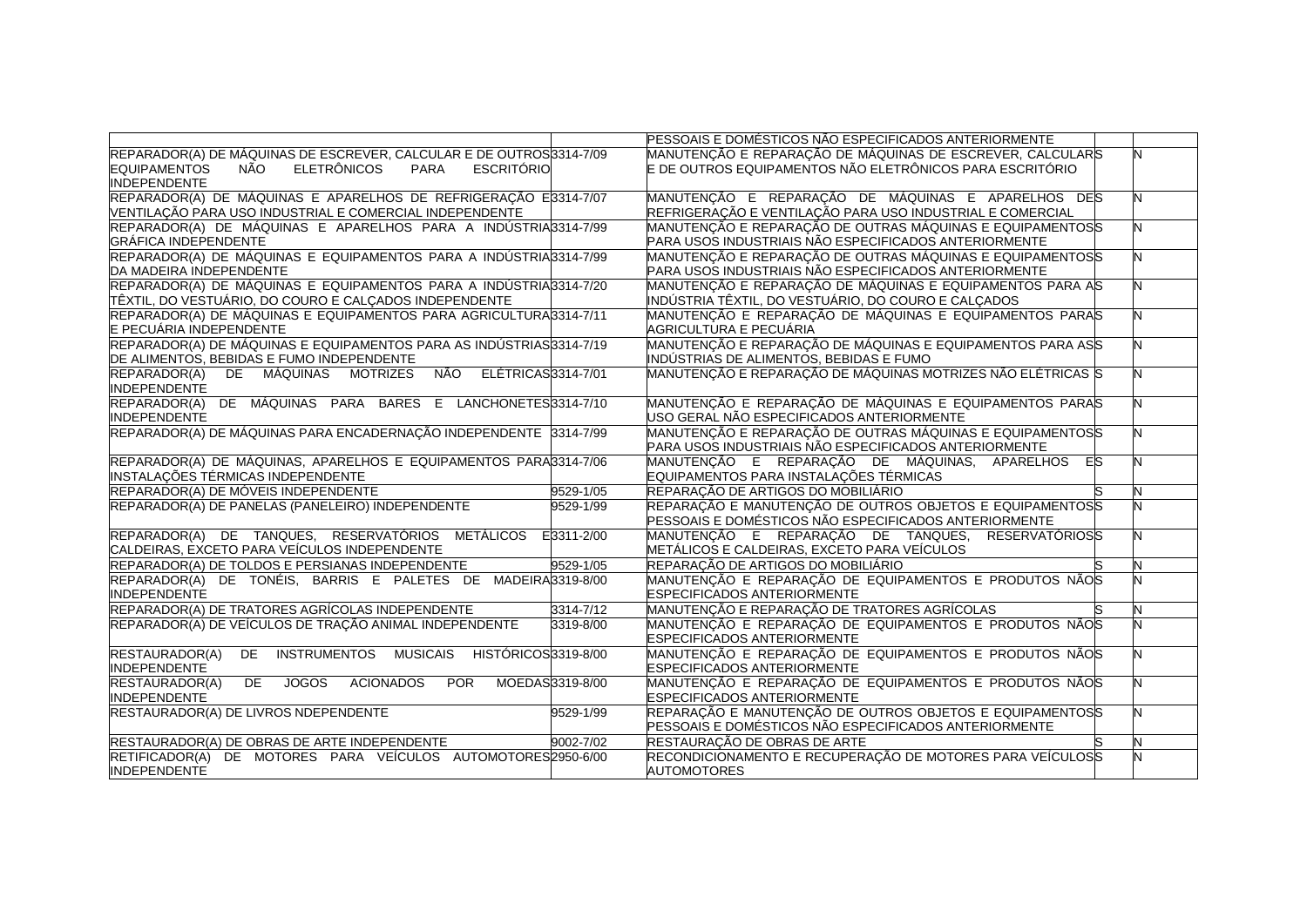|                                                                                                  | PESSOAIS E DOMÉSTICOS NÃO ESPECIFICADOS ANTERIORMENTE       |   |
|--------------------------------------------------------------------------------------------------|-------------------------------------------------------------|---|
| REPARADOR(A) DE MÁQUINAS DE ESCREVER, CALCULAR E DE OUTROS 314-7/09                              | MANUTENÇÃO E REPARAÇÃO DE MÁQUINAS DE ESCREVER, CALCULARS   |   |
| <b>EQUIPAMENTOS</b><br><b>ELETRÔNICOS</b><br><b>ESCRITÓRIO</b><br>NÃO<br>PARA                    | E DE OUTROS EQUIPAMENTOS NÃO ELETRÔNICOS PARA ESCRITÓRIO    |   |
| <b>INDEPENDENTE</b>                                                                              |                                                             |   |
| REPARADOR(A) DE MÁQUINAS E APARELHOS DE REFRIGERAÇÃO E3314-7/07                                  | MANUTENÇÃO E REPARAÇÃO DE MÁQUINAS E APARELHOS DES          | N |
| VENTILAÇÃO PARA USO INDUSTRIAL E COMERCIAL INDEPENDENTE                                          | REFRIGERAÇÃO E VENTILAÇÃO PARA USO INDUSTRIAL E COMERCIAL   |   |
| REPARADOR(A) DE MÁQUINAS E APARELHOS PARA A INDÚSTRIA3314-7/99                                   | MANUTENÇÃO E REPARAÇÃO DE OUTRAS MÁQUINAS E EQUIPAMENTOSS   |   |
| <b>GRÁFICA INDEPENDENTE</b>                                                                      | PARA USOS INDUSTRIAIS NÃO ESPECIFICADOS ANTERIORMENTE       |   |
| REPARADOR(A) DE MÁQUINAS E EQUIPAMENTOS PARA A INDÚSTRIA3314-7/99                                | MANUTENÇÃO E REPARAÇÃO DE OUTRAS MÁQUINAS E EQUIPAMENTOSS   |   |
| DA MADEIRA INDEPENDENTE                                                                          | PARA USOS INDUSTRIAIS NÃO ESPECIFICADOS ANTERIORMENTE       |   |
| REPARADOR(A) DE MÁQUINAS E EQUIPAMENTOS PARA A INDÚSTRIA3314-7/20                                | MANUTENÇÃO E REPARAÇÃO DE MÁQUINAS E EQUIPAMENTOS PARA AS   |   |
| ∏ÊXTIL, DO VESTUÁRIO, DO COURO E CALÇADOS INDEPENDENTE                                           | INDÚSTRIA TÊXTIL, DO VESTUÁRIO, DO COURO E CALCADOS         |   |
| REPARADOR(A) DE MÁQUINAS E EQUIPAMENTOS PARA AGRICULTURA3314-7/11                                | MANUTENÇÃO E REPARAÇÃO DE MÁQUINAS E EQUIPAMENTOS PARAS     |   |
| E PECUÁRIA INDEPENDENTE                                                                          | AGRICULTURA E PECUÁRIA                                      |   |
| REPARADOR(A) DE MÁQUINAS E EQUIPAMENTOS PARA AS INDÚSTRIAS 314-7/19                              | MANUTENÇÃO E REPARAÇÃO DE MÁQUINAS E EQUIPAMENTOS PARA ASS  |   |
| DE ALIMENTOS, BEBIDAS E FUMO INDEPENDENTE                                                        | INDÚSTRIAS DE ALIMENTOS, BEBIDAS E FUMO                     |   |
| ELÉTRICAS3314-7/01<br>REPARADOR(A)<br>DE MÁQUINAS MOTRIZES<br><b>NÃO</b>                         | MANUTENÇÃO E REPARAÇÃO DE MÁQUINAS MOTRIZES NÃO ELÉTRICAS S |   |
| <b>INDEPENDENTE</b>                                                                              |                                                             |   |
| REPARADOR(A) DE MÁQUINAS PARA BARES E LANCHONETES 3314-7/10                                      | MANUTENÇÃO E REPARAÇÃO DE MÁQUINAS E EQUIPAMENTOS PARAS     |   |
| <b>INDEPENDENTE</b>                                                                              | USO GERAL NÃO ESPECIFICADOS ANTERIORMENTE                   |   |
| REPARADOR(A) DE MÁQUINAS PARA ENCADERNAÇÃO INDEPENDENTE 3314-7/99                                | MANUTENÇÃO E REPARAÇÃO DE OUTRAS MÁQUINAS E EQUIPAMENTOSS   |   |
|                                                                                                  | PARA USOS INDUSTRIAIS NÃO ESPECIFICADOS ANTERIORMENTE       |   |
| REPARADOR(A) DE MÁQUINAS, APARELHOS E EQUIPAMENTOS PARA3314-7/06                                 | MANUTENÇÃO E REPARAÇÃO DE MÁQUINAS, APARELHOS<br>ES         |   |
| INSTALAÇÕES TÉRMICAS INDEPENDENTE                                                                | EQUIPAMENTOS PARA INSTALAÇÕES TÉRMICAS                      |   |
| REPARADOR(A) DE MÓVEIS INDEPENDENTE<br>9529-1/05                                                 | REPARAÇÃO DE ARTIGOS DO MOBILIÁRIO                          |   |
| REPARADOR(A) DE PANELAS (PANELEIRO) INDEPENDENTE<br>9529-1/99                                    | REPARAÇÃO E MANUTENÇÃO DE OUTROS OBJETOS E EQUIPAMENTOSS    |   |
|                                                                                                  | PESSOAIS E DOMÉSTICOS NÃO ESPECIFICADOS ANTERIORMENTE       |   |
| REPARADOR(A) DE TANQUES, RESERVATÓRIOS<br>METÁLICOS<br>E3311-2/00                                | MANUTENÇÃO E REPARAÇÃO DE TANQUES, RESERVATÓRIOSS           |   |
| CALDEIRAS, EXCETO PARA VEÍCULOS INDEPENDENTE                                                     | METÁLICOS E CALDEIRAS, EXCETO PARA VEÍCULOS                 |   |
| REPARADOR(A) DE TOLDOS E PERSIANAS INDEPENDENTE<br>9529-1/05                                     | REPARAÇÃO DE ARTIGOS DO MOBILIÁRIO                          |   |
| REPARADOR(A) DE TONÉIS, BARRIS E PALETES DE MADEIRA3319-8/00                                     | MANUTENÇÃO E REPARAÇÃO DE EQUIPAMENTOS E PRODUTOS NÃOS      |   |
| <b>INDEPENDENTE</b>                                                                              | <b>ESPECIFICADOS ANTERIORMENTE</b>                          |   |
| REPARADOR(A) DE TRATORES AGRÍCOLAS INDEPENDENTE<br>3314-7/12                                     | MANUTENÇÃO E REPARAÇÃO DE TRATORES AGRÍCOLAS                |   |
| REPARADOR(A) DE VEÍCULOS DE TRAÇÃO ANIMAL INDEPENDENTE<br>3319-8/00                              | MANUTENÇÃO E REPARAÇÃO DE EQUIPAMENTOS E PRODUTOS NÃOS      |   |
|                                                                                                  | ESPECIFICADOS ANTERIORMENTE                                 |   |
| <b>RESTAURADOR(A)</b><br>INSTRUMENTOS MUSICAIS<br>HISTÓRICOS3319-8/00<br><b>DE</b>               | MANUTENÇÃO E REPARAÇÃO DE EQUIPAMENTOS E PRODUTOS NÃOS      |   |
| <b>INDEPENDENTE</b>                                                                              | <b>ESPECIFICADOS ANTERIORMENTE</b>                          |   |
| RESTAURADOR(A)<br><b>DE</b><br><b>JOGOS</b><br><b>ACIONADOS</b><br><b>POR</b><br>MOEDAS3319-8/00 | MANUTENÇÃO E REPARAÇÃO DE EQUIPAMENTOS E PRODUTOS NÃOS      |   |
| <b>INDEPENDENTE</b>                                                                              | <b>ESPECIFICADOS ANTERIORMENTE</b>                          |   |
| RESTAURADOR(A) DE LIVROS NDEPENDENTE<br>9529-1/99                                                | REPARAÇÃO E MANUTENÇÃO DE OUTROS OBJETOS E EQUIPAMENTOSS    | N |
|                                                                                                  | PESSOAIS E DOMÉSTICOS NÃO ESPECIFICADOS ANTERIORMENTE       |   |
| RESTAURADOR(A) DE OBRAS DE ARTE INDEPENDENTE<br>9002-7/02                                        | RESTAURAÇÃO DE OBRAS DE ARTE                                | N |
| RETIFICADOR(A) DE MOTORES PARA VEÍCULOS AUTOMOTORES2950-6/00                                     | RECONDICIONAMENTO E RECUPERAÇÃO DE MOTORES PARA VEÍCULOSS   |   |
| <b>INDEPENDENTE</b>                                                                              | <b>AUTOMOTORES</b>                                          |   |
|                                                                                                  |                                                             |   |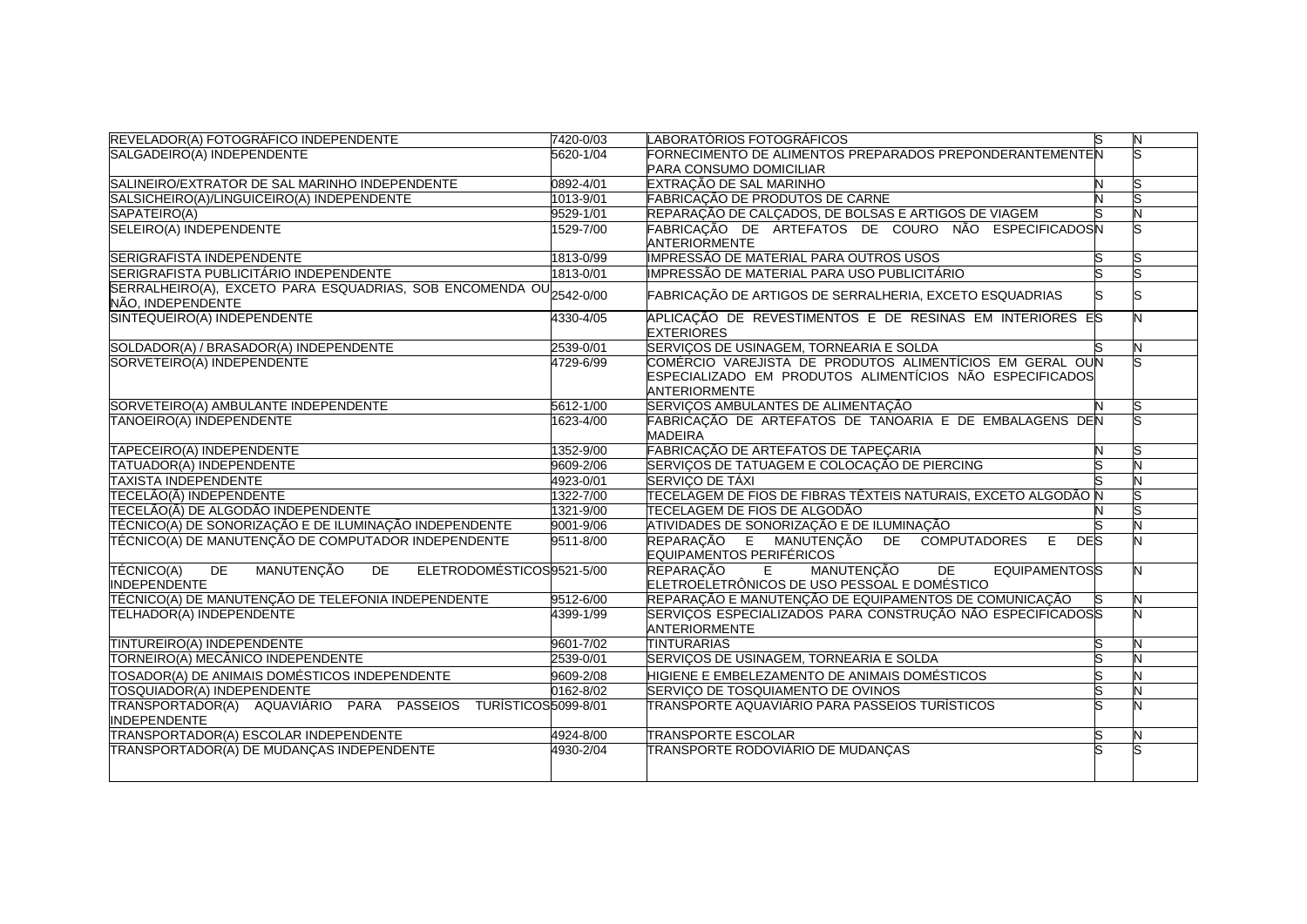| REVELADOR(A) FOTOGRÁFICO INDEPENDENTE                                                    | 7420-0/03 | LABORATÓRIOS FOTOGRÁFICOS                                                                                                                    | lS | N |
|------------------------------------------------------------------------------------------|-----------|----------------------------------------------------------------------------------------------------------------------------------------------|----|---|
| SALGADEIRO(A) INDEPENDENTE                                                               | 5620-1/04 | FORNECIMENTO DE ALIMENTOS PREPARADOS PREPONDERANTEMENTEN                                                                                     |    |   |
|                                                                                          |           | PARA CONSUMO DOMICILIAR                                                                                                                      |    |   |
| SALINEIRO/EXTRATOR DE SAL MARINHO INDEPENDENTE                                           | 0892-4/01 | EXTRAÇÃO DE SAL MARINHO                                                                                                                      |    |   |
| SALSICHEIRO(A)/LINGUICEIRO(A) INDEPENDENTE                                               | 1013-9/01 | FABRICAÇÃO DE PRODUTOS DE CARNE                                                                                                              |    |   |
| SAPATEIRO(A)                                                                             | 9529-1/01 | REPARAÇÃO DE CALÇADOS, DE BOLSAS E ARTIGOS DE VIAGEM                                                                                         |    |   |
| SELEIRO(A) INDEPENDENTE                                                                  | 1529-7/00 | FABRICAÇÃO DE ARTEFATOS DE COURO NÃO ESPECIFICADOSN<br>ANTERIORMENTE                                                                         |    |   |
| SERIGRAFISTA INDEPENDENTE                                                                | 1813-0/99 | <b>IMPRESSÃO DE MATERIAL PARA OUTROS USOS</b>                                                                                                |    |   |
| SERIGRAFISTA PUBLICITÁRIO INDEPENDENTE                                                   | 1813-0/01 | IMPRESSÃO DE MATERIAL PARA USO PUBLICITÁRIO                                                                                                  |    |   |
| SERRALHEIRO(A), EXCETO PARA ESQUADRIAS, SOB ENCOMENDA OU 2542-0/00<br>NÃO, INDEPENDENTE  |           | FABRICAÇÃO DE ARTIGOS DE SERRALHERIA, EXCETO ESQUADRIAS                                                                                      |    |   |
| SINTEQUEIRO(A) INDEPENDENTE                                                              | 4330-4/05 | APLICAÇÃO DE REVESTIMENTOS E DE RESINAS EM INTERIORES ES<br><b>EXTERIORES</b>                                                                |    |   |
| SOLDADOR(A) / BRASADOR(A) INDEPENDENTE                                                   | 2539-0/01 | SERVIÇOS DE USINAGEM, TORNEARIA E SOLDA                                                                                                      |    | N |
| SORVETEIRO(A) INDEPENDENTE                                                               | 4729-6/99 | COMÉRCIO VAREJISTA DE PRODUTOS ALIMENTÍCIOS EM GERAL OUN<br>ESPECIALIZADO EM PRODUTOS ALIMENTÍCIOS NÃO ESPECIFICADOS<br><b>ANTERIORMENTE</b> |    |   |
| SORVETEIRO(A) AMBULANTE INDEPENDENTE                                                     | 5612-1/00 | SERVIÇOS AMBULANTES DE ALIMENTAÇÃO                                                                                                           |    |   |
| TANOEIRO(A) INDEPENDENTE                                                                 | 1623-4/00 | FABRICAÇÃO DE ARTEFATOS DE TANOARIA E DE EMBALAGENS DEN<br><b>MADEIRA</b>                                                                    |    |   |
| TAPECEIRO(A) INDEPENDENTE                                                                | 1352-9/00 | FABRICAÇÃO DE ARTEFATOS DE TAPEÇARIA                                                                                                         |    |   |
| <b>TATUADOR(A) INDEPENDENTE</b>                                                          | 9609-2/06 | SERVIÇOS DE TATUAGEM E COLOCAÇÃO DE PIERCING                                                                                                 |    |   |
| <b>TAXISTA INDEPENDENTE</b>                                                              | 4923-0/01 | SERVIÇO DE TÁXI                                                                                                                              |    |   |
| TECELÃO(Ã) INDEPENDENTE                                                                  | 1322-7/00 | TECELAGEM DE FIOS DE FIBRAS TÊXTEIS NATURAIS, EXCETO ALGODÃO N                                                                               |    |   |
| TECELÃO(Ã) DE ALGODÃO INDEPENDENTE                                                       | 1321-9/00 | TECELAGEM DE FIOS DE ALGODÃO                                                                                                                 |    |   |
| TÉCNICO(A) DE SONORIZAÇÃO E DE ILUMINAÇÃO INDEPENDENTE                                   | 9001-9/06 | ATIVIDADES DE SONORIZAÇÃO E DE ILUMINAÇÃO                                                                                                    |    |   |
| TÉCNICO(A) DE MANUTENÇÃO DE COMPUTADOR INDEPENDENTE                                      | 9511-8/00 | DE COMPUTADORES<br>REPARAÇÃO E MANUTENÇÃO<br>Ε<br><b>DES</b><br>EQUIPAMENTOS PERIFÉRICOS                                                     |    |   |
| DE<br>MANUTENÇÃO<br>TÉCNICO(A)<br>DE<br>ELETRODOMÉSTICOS9521-5/00<br><b>INDEPENDENTE</b> |           | REPARAÇÃO<br>MANUTENÇÃO<br>E<br>DE<br><b>EQUIPAMENTOSS</b><br>ELETROELETRÔNICOS DE USO PESSOAL E DOMÉSTICO                                   |    |   |
| TÉCNICO(A) DE MANUTENÇÃO DE TELEFONIA INDEPENDENTE                                       | 9512-6/00 | REPARAÇÃO E MANUTENÇÃO DE EQUIPAMENTOS DE COMUNICAÇÃO                                                                                        |    |   |
| TELHADOR(A) INDEPENDENTE                                                                 | 4399-1/99 | SERVIÇOS ESPECIALIZADOS PARA CONSTRUÇÃO NÃO ESPECIFICADOSS<br><b>ANTERIORMENTE</b>                                                           |    |   |
| TINTUREIRO(A) INDEPENDENTE                                                               | 9601-7/02 | <b>TINTURARIAS</b>                                                                                                                           |    |   |
| TORNEIRO(A) MECÂNICO INDEPENDENTE                                                        | 2539-0/01 | SERVIÇOS DE USINAGEM, TORNEARIA E SOLDA                                                                                                      |    |   |
| TOSADOR(A) DE ANIMAIS DOMÉSTICOS INDEPENDENTE                                            | 9609-2/08 | HIGIENE E EMBELEZAMENTO DE ANIMAIS DOMÉSTICOS                                                                                                |    |   |
| TOSQUIADOR(A) INDEPENDENTE                                                               | 0162-8/02 | SERVIÇO DE TOSQUIAMENTO DE OVINOS                                                                                                            |    |   |
| TRANSPORTADOR(A) AQUAVIÁRIO PARA PASSEIOS TURÍSTICOS5099-8/01<br><b>INDEPENDENTE</b>     |           | ITRANSPORTE AQUAVIÁRIO PARA PASSEIOS TURÍSTICOS                                                                                              |    |   |
| TRANSPORTADOR(A) ESCOLAR INDEPENDENTE                                                    | 4924-8/00 | <b>TRANSPORTE ESCOLAR</b>                                                                                                                    |    |   |
| TRANSPORTADOR(A) DE MUDANÇAS INDEPENDENTE                                                | 4930-2/04 | TRANSPORTE RODOVIÁRIO DE MUDANÇAS                                                                                                            |    |   |
|                                                                                          |           |                                                                                                                                              |    |   |